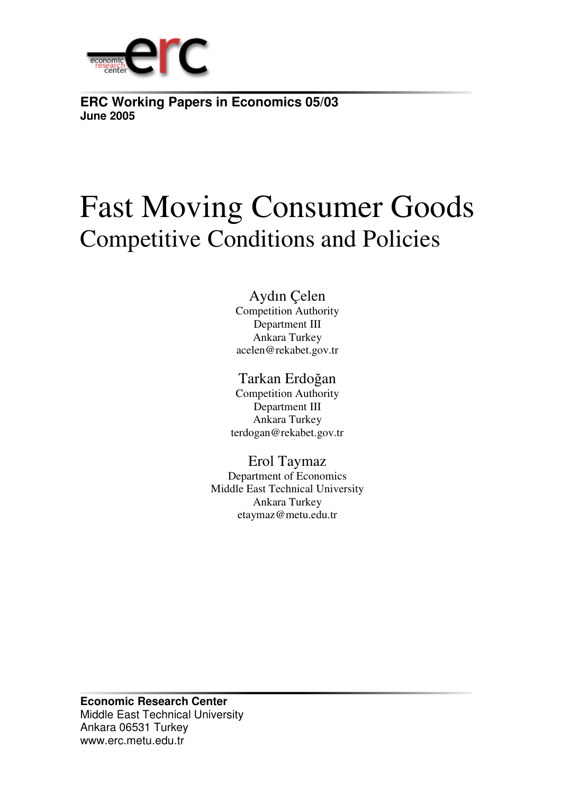

**ERC Working Papers in Economics 05/03 June 2005**

# Fast Moving Consumer Goods Competitive Conditions and Policies

## Aydın Çelen

Competition Authority Department III Ankara Turkey acelen@rekabet.gov.tr

## Tarkan Erdoğan

Competition Authority Department III Ankara Turkey terdogan@rekabet.gov.tr

### Erol Taymaz

Department of Economics Middle East Technical University Ankara Turkey etaymaz@metu.edu.tr

**Economic Research Center** Middle East Technical University Ankara 06531 Turkey www.erc.metu.edu.tr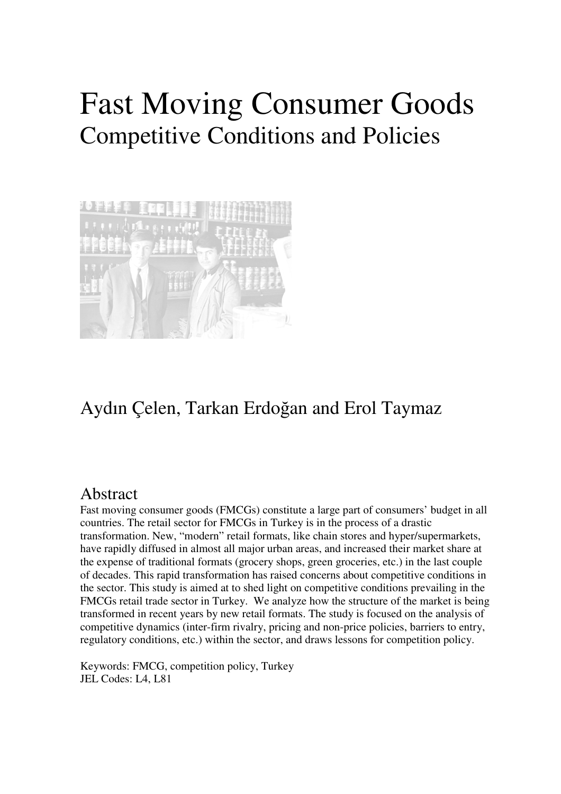# Fast Moving Consumer Goods Competitive Conditions and Policies



## Aydın Çelen, Tarkan Erdoğan and Erol Taymaz

## Abstract

Fast moving consumer goods (FMCGs) constitute a large part of consumers' budget in all countries. The retail sector for FMCGs in Turkey is in the process of a drastic transformation. New, "modern" retail formats, like chain stores and hyper/supermarkets, have rapidly diffused in almost all major urban areas, and increased their market share at the expense of traditional formats (grocery shops, green groceries, etc.) in the last couple of decades. This rapid transformation has raised concerns about competitive conditions in the sector. This study is aimed at to shed light on competitive conditions prevailing in the FMCGs retail trade sector in Turkey. We analyze how the structure of the market is being transformed in recent years by new retail formats. The study is focused on the analysis of competitive dynamics (inter-firm rivalry, pricing and non-price policies, barriers to entry, regulatory conditions, etc.) within the sector, and draws lessons for competition policy.

Keywords: FMCG, competition policy, Turkey JEL Codes: L4, L81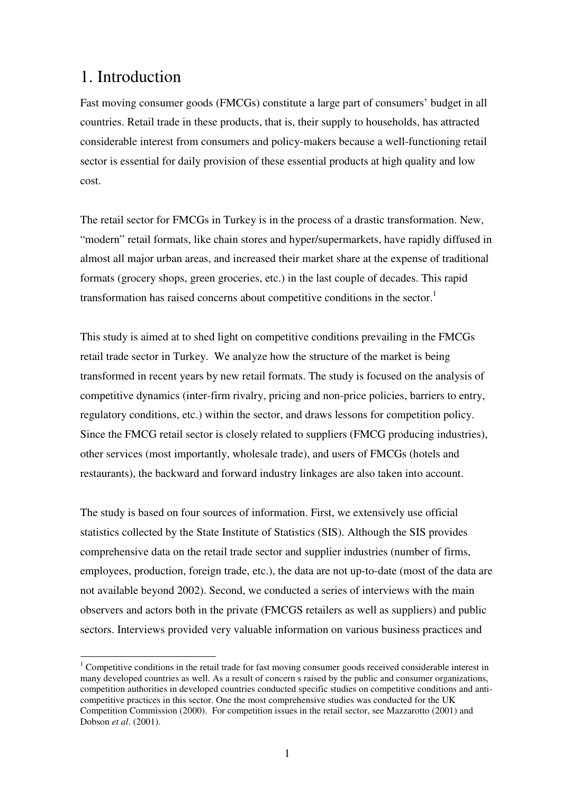## 1. Introduction

Fast moving consumer goods (FMCGs) constitute a large part of consumers' budget in all countries. Retail trade in these products, that is, their supply to households, has attracted considerable interest from consumers and policy-makers because a well-functioning retail sector is essential for daily provision of these essential products at high quality and low cost.

The retail sector for FMCGs in Turkey is in the process of a drastic transformation. New, "modern" retail formats, like chain stores and hyper/supermarkets, have rapidly diffused in almost all major urban areas, and increased their market share at the expense of traditional formats (grocery shops, green groceries, etc.) in the last couple of decades. This rapid transformation has raised concerns about competitive conditions in the sector.<sup>1</sup>

This study is aimed at to shed light on competitive conditions prevailing in the FMCGs retail trade sector in Turkey. We analyze how the structure of the market is being transformed in recent years by new retail formats. The study is focused on the analysis of competitive dynamics (inter-firm rivalry, pricing and non-price policies, barriers to entry, regulatory conditions, etc.) within the sector, and draws lessons for competition policy. Since the FMCG retail sector is closely related to suppliers (FMCG producing industries), other services (most importantly, wholesale trade), and users of FMCGs (hotels and restaurants), the backward and forward industry linkages are also taken into account.

The study is based on four sources of information. First, we extensively use official statistics collected by the State Institute of Statistics (SIS). Although the SIS provides comprehensive data on the retail trade sector and supplier industries (number of firms, employees, production, foreign trade, etc.), the data are not up-to-date (most of the data are not available beyond 2002). Second, we conducted a series of interviews with the main observers and actors both in the private (FMCGS retailers as well as suppliers) and public sectors. Interviews provided very valuable information on various business practices and

<sup>&</sup>lt;sup>1</sup> Competitive conditions in the retail trade for fast moving consumer goods received considerable interest in many developed countries as well. As a result of concern s raised by the public and consumer organizations, competition authorities in developed countries conducted specific studies on competitive conditions and anticompetitive practices in this sector. One the most comprehensive studies was conducted for the UK Competition Commission (2000). For competition issues in the retail sector, see Mazzarotto (2001) and Dobson *et al*. (2001).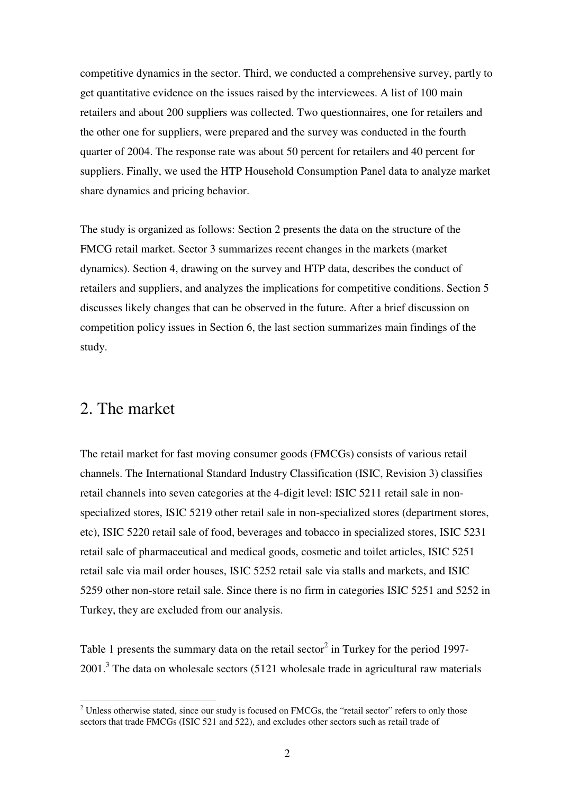competitive dynamics in the sector. Third, we conducted a comprehensive survey, partly to get quantitative evidence on the issues raised by the interviewees. A list of 100 main retailers and about 200 suppliers was collected. Two questionnaires, one for retailers and the other one for suppliers, were prepared and the survey was conducted in the fourth quarter of 2004. The response rate was about 50 percent for retailers and 40 percent for suppliers. Finally, we used the HTP Household Consumption Panel data to analyze market share dynamics and pricing behavior.

The study is organized as follows: Section 2 presents the data on the structure of the FMCG retail market. Sector 3 summarizes recent changes in the markets (market dynamics). Section 4, drawing on the survey and HTP data, describes the conduct of retailers and suppliers, and analyzes the implications for competitive conditions. Section 5 discusses likely changes that can be observed in the future. After a brief discussion on competition policy issues in Section 6, the last section summarizes main findings of the study.

## 2. The market

The retail market for fast moving consumer goods (FMCGs) consists of various retail channels. The International Standard Industry Classification (ISIC, Revision 3) classifies retail channels into seven categories at the 4-digit level: ISIC 5211 retail sale in nonspecialized stores, ISIC 5219 other retail sale in non-specialized stores (department stores, etc), ISIC 5220 retail sale of food, beverages and tobacco in specialized stores, ISIC 5231 retail sale of pharmaceutical and medical goods, cosmetic and toilet articles, ISIC 5251 retail sale via mail order houses, ISIC 5252 retail sale via stalls and markets, and ISIC 5259 other non-store retail sale. Since there is no firm in categories ISIC 5251 and 5252 in Turkey, they are excluded from our analysis.

Table 1 presents the summary data on the retail sector<sup>2</sup> in Turkey for the period 1997-2001.<sup>3</sup> The data on wholesale sectors (5121 wholesale trade in agricultural raw materials

<sup>&</sup>lt;sup>2</sup> Unless otherwise stated, since our study is focused on FMCGs, the "retail sector" refers to only those sectors that trade FMCGs (ISIC 521 and 522), and excludes other sectors such as retail trade of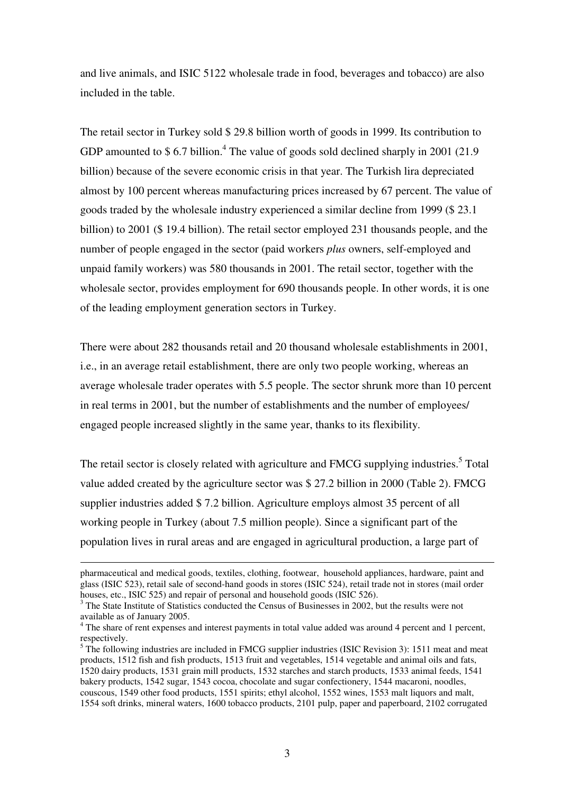and live animals, and ISIC 5122 wholesale trade in food, beverages and tobacco) are also included in the table.

The retail sector in Turkey sold \$ 29.8 billion worth of goods in 1999. Its contribution to GDP amounted to \$6.7 billion.<sup>4</sup> The value of goods sold declined sharply in 2001 (21.9) billion) because of the severe economic crisis in that year. The Turkish lira depreciated almost by 100 percent whereas manufacturing prices increased by 67 percent. The value of goods traded by the wholesale industry experienced a similar decline from 1999 (\$ 23.1 billion) to 2001 (\$ 19.4 billion). The retail sector employed 231 thousands people, and the number of people engaged in the sector (paid workers *plus* owners, self-employed and unpaid family workers) was 580 thousands in 2001. The retail sector, together with the wholesale sector, provides employment for 690 thousands people. In other words, it is one of the leading employment generation sectors in Turkey.

There were about 282 thousands retail and 20 thousand wholesale establishments in 2001, i.e., in an average retail establishment, there are only two people working, whereas an average wholesale trader operates with 5.5 people. The sector shrunk more than 10 percent in real terms in 2001, but the number of establishments and the number of employees/ engaged people increased slightly in the same year, thanks to its flexibility.

The retail sector is closely related with agriculture and FMCG supplying industries.<sup>5</sup> Total value added created by the agriculture sector was \$ 27.2 billion in 2000 (Table 2). FMCG supplier industries added \$ 7.2 billion. Agriculture employs almost 35 percent of all working people in Turkey (about 7.5 million people). Since a significant part of the population lives in rural areas and are engaged in agricultural production, a large part of

pharmaceutical and medical goods, textiles, clothing, footwear, household appliances, hardware, paint and glass (ISIC 523), retail sale of second-hand goods in stores (ISIC 524), retail trade not in stores (mail order houses, etc., ISIC 525) and repair of personal and household goods (ISIC 526).

<sup>&</sup>lt;sup>3</sup> The State Institute of Statistics conducted the Census of Businesses in 2002, but the results were not available as of January 2005.

<sup>&</sup>lt;sup>4</sup> The share of rent expenses and interest payments in total value added was around 4 percent and 1 percent, respectively.

 $<sup>5</sup>$  The following industries are included in FMCG supplier industries (ISIC Revision 3): 1511 meat and meat</sup> products, 1512 fish and fish products, 1513 fruit and vegetables, 1514 vegetable and animal oils and fats, 1520 dairy products, 1531 grain mill products, 1532 starches and starch products, 1533 animal feeds, 1541 bakery products, 1542 sugar, 1543 cocoa, chocolate and sugar confectionery, 1544 macaroni, noodles, couscous, 1549 other food products, 1551 spirits; ethyl alcohol, 1552 wines, 1553 malt liquors and malt, 1554 soft drinks, mineral waters, 1600 tobacco products, 2101 pulp, paper and paperboard, 2102 corrugated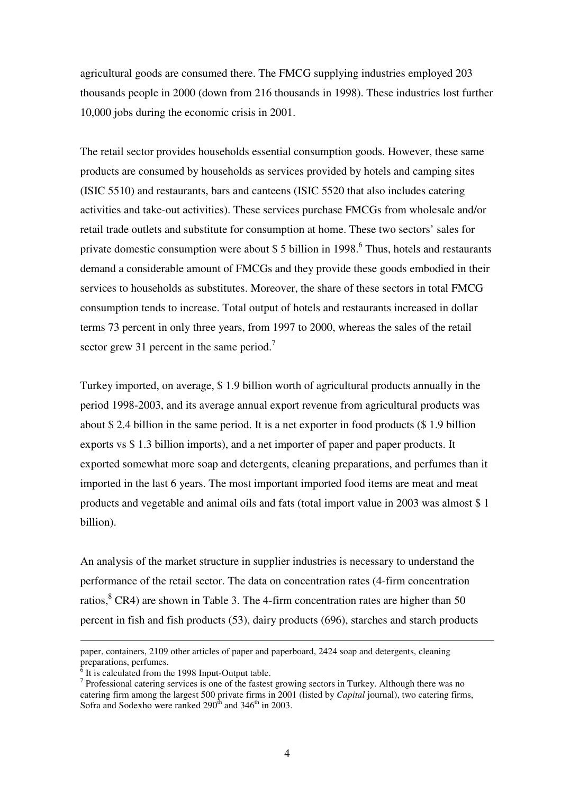agricultural goods are consumed there. The FMCG supplying industries employed 203 thousands people in 2000 (down from 216 thousands in 1998). These industries lost further 10,000 jobs during the economic crisis in 2001.

The retail sector provides households essential consumption goods. However, these same products are consumed by households as services provided by hotels and camping sites (ISIC 5510) and restaurants, bars and canteens (ISIC 5520 that also includes catering activities and take-out activities). These services purchase FMCGs from wholesale and/or retail trade outlets and substitute for consumption at home. These two sectors' sales for private domestic consumption were about \$ 5 billion in 1998.<sup>6</sup> Thus, hotels and restaurants demand a considerable amount of FMCGs and they provide these goods embodied in their services to households as substitutes. Moreover, the share of these sectors in total FMCG consumption tends to increase. Total output of hotels and restaurants increased in dollar terms 73 percent in only three years, from 1997 to 2000, whereas the sales of the retail sector grew 31 percent in the same period.<sup>7</sup>

Turkey imported, on average, \$ 1.9 billion worth of agricultural products annually in the period 1998-2003, and its average annual export revenue from agricultural products was about \$ 2.4 billion in the same period. It is a net exporter in food products (\$ 1.9 billion exports vs \$ 1.3 billion imports), and a net importer of paper and paper products. It exported somewhat more soap and detergents, cleaning preparations, and perfumes than it imported in the last 6 years. The most important imported food items are meat and meat products and vegetable and animal oils and fats (total import value in 2003 was almost \$ 1 billion).

An analysis of the market structure in supplier industries is necessary to understand the performance of the retail sector. The data on concentration rates (4-firm concentration ratios, <sup>8</sup> CR4) are shown in Table 3. The 4-firm concentration rates are higher than 50 percent in fish and fish products (53), dairy products (696), starches and starch products

paper, containers, 2109 other articles of paper and paperboard, 2424 soap and detergents, cleaning preparations, perfumes.

It is calculated from the 1998 Input-Output table.

<sup>&</sup>lt;sup>7</sup> Professional catering services is one of the fastest growing sectors in Turkey. Although there was no catering firm among the largest 500 private firms in 2001 (listed by *Capital* journal), two catering firms, Sofra and Sodexho were ranked  $290<sup>th</sup>$  and  $346<sup>th</sup>$  in 2003.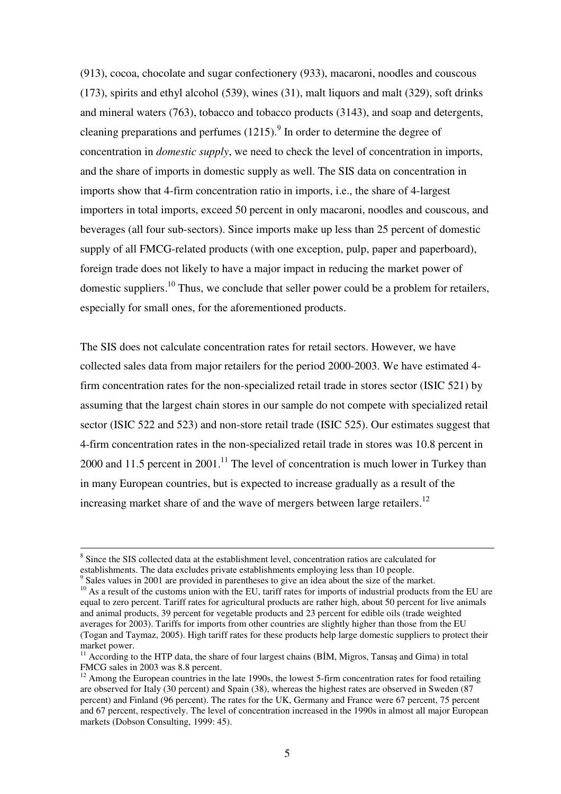(913), cocoa, chocolate and sugar confectionery (933), macaroni, noodles and couscous (173), spirits and ethyl alcohol (539), wines (31), malt liquors and malt (329), soft drinks and mineral waters (763), tobacco and tobacco products (3143), and soap and detergents, cleaning preparations and perfumes  $(1215)$ .<sup>9</sup> In order to determine the degree of concentration in *domestic supply*, we need to check the level of concentration in imports, and the share of imports in domestic supply as well. The SIS data on concentration in imports show that 4-firm concentration ratio in imports, i.e., the share of 4-largest importers in total imports, exceed 50 percent in only macaroni, noodles and couscous, and beverages (all four sub-sectors). Since imports make up less than 25 percent of domestic supply of all FMCG-related products (with one exception, pulp, paper and paperboard), foreign trade does not likely to have a major impact in reducing the market power of domestic suppliers.<sup>10</sup> Thus, we conclude that seller power could be a problem for retailers, especially for small ones, for the aforementioned products.

The SIS does not calculate concentration rates for retail sectors. However, we have collected sales data from major retailers for the period 2000-2003. We have estimated 4 firm concentration rates for the non-specialized retail trade in stores sector (ISIC 521) by assuming that the largest chain stores in our sample do not compete with specialized retail sector (ISIC 522 and 523) and non-store retail trade (ISIC 525). Our estimates suggest that 4-firm concentration rates in the non-specialized retail trade in stores was 10.8 percent in 2000 and 11.5 percent in 2001.<sup>11</sup> The level of concentration is much lower in Turkey than in many European countries, but is expected to increase gradually as a result of the increasing market share of and the wave of mergers between large retailers.<sup>12</sup>

<sup>&</sup>lt;sup>8</sup> Since the SIS collected data at the establishment level, concentration ratios are calculated for establishments. The data excludes private establishments employing less than 10 people.

<sup>&</sup>lt;sup>9</sup> Sales values in 2001 are provided in parentheses to give an idea about the size of the market.  $10$  As a result of the customs union with the EU, tariff rates for imports of industrial products from the EU are equal to zero percent. Tariff rates for agricultural products are rather high, about 50 percent for live animals and animal products, 39 percent for vegetable products and 23 percent for edible oils (trade weighted averages for 2003). Tariffs for imports from other countries are slightly higher than those from the EU (Togan and Taymaz, 2005). High tariff rates for these products help large domestic suppliers to protect their market power.

 $11$  According to the HTP data, the share of four largest chains (BIM, Migros, Tansas and Gima) in total FMCG sales in 2003 was 8.8 percent.

 $12$  Among the European countries in the late 1990s, the lowest 5-firm concentration rates for food retailing are observed for Italy (30 percent) and Spain (38), whereas the highest rates are observed in Sweden (87 percent) and Finland (96 percent). The rates for the UK, Germany and France were 67 percent, 75 percent and 67 percent, respectively. The level of concentration increased in the 1990s in almost all major European markets (Dobson Consulting, 1999: 45).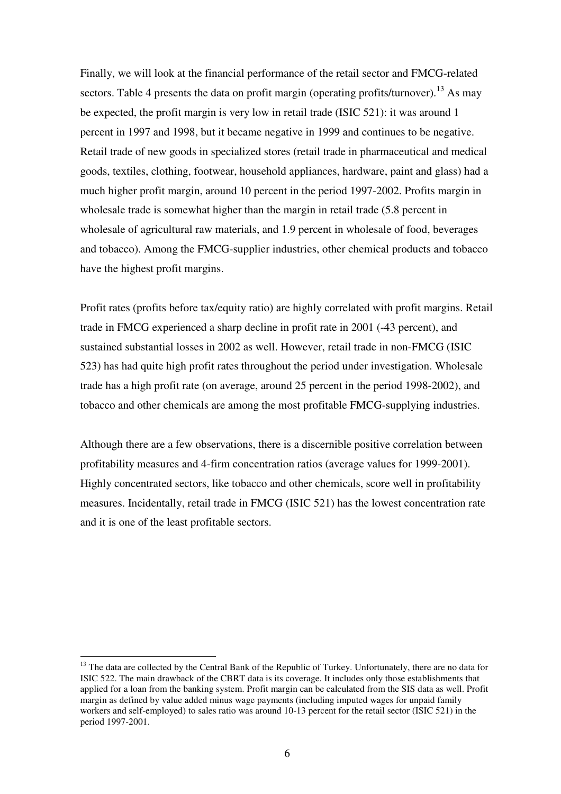Finally, we will look at the financial performance of the retail sector and FMCG-related sectors. Table 4 presents the data on profit margin (operating profits/turnover).<sup>13</sup> As may be expected, the profit margin is very low in retail trade (ISIC 521): it was around 1 percent in 1997 and 1998, but it became negative in 1999 and continues to be negative. Retail trade of new goods in specialized stores (retail trade in pharmaceutical and medical goods, textiles, clothing, footwear, household appliances, hardware, paint and glass) had a much higher profit margin, around 10 percent in the period 1997-2002. Profits margin in wholesale trade is somewhat higher than the margin in retail trade (5.8 percent in wholesale of agricultural raw materials, and 1.9 percent in wholesale of food, beverages and tobacco). Among the FMCG-supplier industries, other chemical products and tobacco have the highest profit margins.

Profit rates (profits before tax/equity ratio) are highly correlated with profit margins. Retail trade in FMCG experienced a sharp decline in profit rate in 2001 (-43 percent), and sustained substantial losses in 2002 as well. However, retail trade in non-FMCG (ISIC 523) has had quite high profit rates throughout the period under investigation. Wholesale trade has a high profit rate (on average, around 25 percent in the period 1998-2002), and tobacco and other chemicals are among the most profitable FMCG-supplying industries.

Although there are a few observations, there is a discernible positive correlation between profitability measures and 4-firm concentration ratios (average values for 1999-2001). Highly concentrated sectors, like tobacco and other chemicals, score well in profitability measures. Incidentally, retail trade in FMCG (ISIC 521) has the lowest concentration rate and it is one of the least profitable sectors.

<sup>&</sup>lt;sup>13</sup> The data are collected by the Central Bank of the Republic of Turkey. Unfortunately, there are no data for ISIC 522. The main drawback of the CBRT data is its coverage. It includes only those establishments that applied for a loan from the banking system. Profit margin can be calculated from the SIS data as well. Profit margin as defined by value added minus wage payments (including imputed wages for unpaid family workers and self-employed) to sales ratio was around 10-13 percent for the retail sector (ISIC 521) in the period 1997-2001.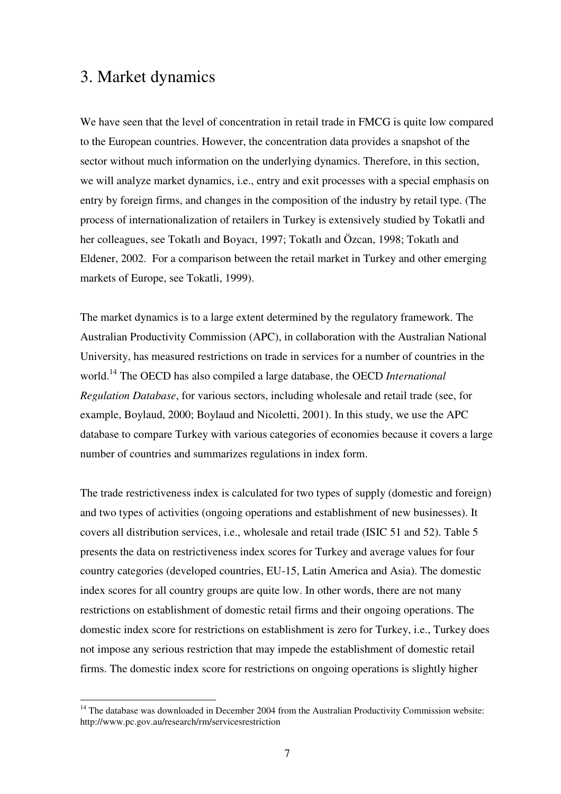## 3. Market dynamics

We have seen that the level of concentration in retail trade in FMCG is quite low compared to the European countries. However, the concentration data provides a snapshot of the sector without much information on the underlying dynamics. Therefore, in this section, we will analyze market dynamics, i.e., entry and exit processes with a special emphasis on entry by foreign firms, and changes in the composition of the industry by retail type. (The process of internationalization of retailers in Turkey is extensively studied by Tokatli and her colleagues, see Tokatlı and Boyacı, 1997; Tokatlı and Özcan, 1998; Tokatlı and Eldener, 2002. For a comparison between the retail market in Turkey and other emerging markets of Europe, see Tokatli, 1999).

The market dynamics is to a large extent determined by the regulatory framework. The Australian Productivity Commission (APC), in collaboration with the Australian National University, has measured restrictions on trade in services for a number of countries in the world. 14 The OECD has also compiled a large database, the OECD *International Regulation Database*, for various sectors, including wholesale and retail trade (see, for example, Boylaud, 2000; Boylaud and Nicoletti, 2001). In this study, we use the APC database to compare Turkey with various categories of economies because it covers a large number of countries and summarizes regulations in index form.

The trade restrictiveness index is calculated for two types of supply (domestic and foreign) and two types of activities (ongoing operations and establishment of new businesses). It covers all distribution services, i.e., wholesale and retail trade (ISIC 51 and 52). Table 5 presents the data on restrictiveness index scores for Turkey and average values for four country categories (developed countries, EU-15, Latin America and Asia). The domestic index scores for all country groups are quite low. In other words, there are not many restrictions on establishment of domestic retail firms and their ongoing operations. The domestic index score for restrictions on establishment is zero for Turkey, i.e., Turkey does not impose any serious restriction that may impede the establishment of domestic retail firms. The domestic index score for restrictions on ongoing operations is slightly higher

 $14$  The database was downloaded in December 2004 from the Australian Productivity Commission website: http://www.pc.gov.au/research/rm/servicesrestriction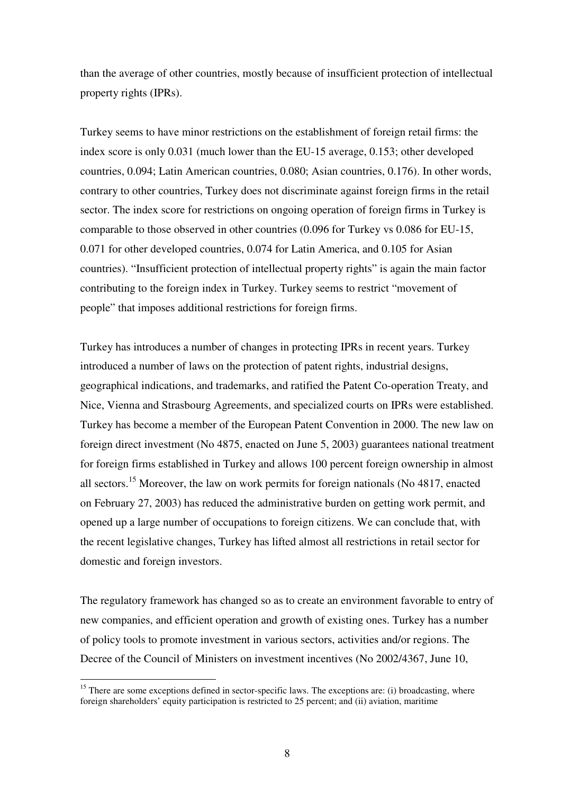than the average of other countries, mostly because of insufficient protection of intellectual property rights (IPRs).

Turkey seems to have minor restrictions on the establishment of foreign retail firms: the index score is only 0.031 (much lower than the EU-15 average, 0.153; other developed countries, 0.094; Latin American countries, 0.080; Asian countries, 0.176). In other words, contrary to other countries, Turkey does not discriminate against foreign firms in the retail sector. The index score for restrictions on ongoing operation of foreign firms in Turkey is comparable to those observed in other countries (0.096 for Turkey vs 0.086 for EU-15, 0.071 for other developed countries, 0.074 for Latin America, and 0.105 for Asian countries). "Insufficient protection of intellectual property rights" is again the main factor contributing to the foreign index in Turkey. Turkey seems to restrict "movement of people" that imposes additional restrictions for foreign firms.

Turkey has introduces a number of changes in protecting IPRs in recent years. Turkey introduced a number of laws on the protection of patent rights, industrial designs, geographical indications, and trademarks, and ratified the Patent Co-operation Treaty, and Nice, Vienna and Strasbourg Agreements, and specialized courts on IPRs were established. Turkey has become a member of the European Patent Convention in 2000. The new law on foreign direct investment (No 4875, enacted on June 5, 2003) guarantees national treatment for foreign firms established in Turkey and allows 100 percent foreign ownership in almost all sectors.<sup>15</sup> Moreover, the law on work permits for foreign nationals (No 4817, enacted on February 27, 2003) has reduced the administrative burden on getting work permit, and opened up a large number of occupations to foreign citizens. We can conclude that, with the recent legislative changes, Turkey has lifted almost all restrictions in retail sector for domestic and foreign investors.

The regulatory framework has changed so as to create an environment favorable to entry of new companies, and efficient operation and growth of existing ones. Turkey has a number of policy tools to promote investment in various sectors, activities and/or regions. The Decree of the Council of Ministers on investment incentives (No 2002/4367, June 10,

<sup>&</sup>lt;sup>15</sup> There are some exceptions defined in sector-specific laws. The exceptions are: (i) broadcasting, where foreign shareholders' equity participation is restricted to 25 percent; and (ii) aviation, maritime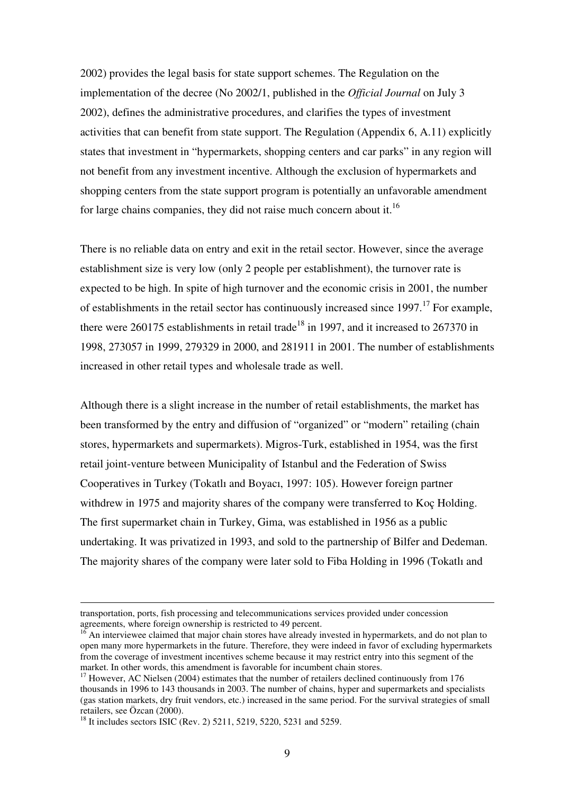2002) provides the legal basis for state support schemes. The Regulation on the implementation of the decree (No 2002/1, published in the *Official Journal* on July 3 2002), defines the administrative procedures, and clarifies the types of investment activities that can benefit from state support. The Regulation (Appendix 6, A.11) explicitly states that investment in "hypermarkets, shopping centers and car parks" in any region will not benefit from any investment incentive. Although the exclusion of hypermarkets and shopping centers from the state support program is potentially an unfavorable amendment for large chains companies, they did not raise much concern about it.<sup>16</sup>

There is no reliable data on entry and exit in the retail sector. However, since the average establishment size is very low (only 2 people per establishment), the turnover rate is expected to be high. In spite of high turnover and the economic crisis in 2001, the number of establishments in the retail sector has continuously increased since 1997.<sup>17</sup> For example, there were 260175 establishments in retail trade<sup>18</sup> in 1997, and it increased to 267370 in 1998, 273057 in 1999, 279329 in 2000, and 281911 in 2001. The number of establishments increased in other retail types and wholesale trade as well.

Although there is a slight increase in the number of retail establishments, the market has been transformed by the entry and diffusion of "organized" or "modern" retailing (chain stores, hypermarkets and supermarkets). Migros-Turk, established in 1954, was the first retail joint-venture between Municipality of Istanbul and the Federation of Swiss Cooperatives in Turkey (Tokatlı and Boyacı, 1997: 105). However foreign partner withdrew in 1975 and majority shares of the company were transferred to Koç Holding. The first supermarket chain in Turkey, Gima, was established in 1956 as a public undertaking. It was privatized in 1993, and sold to the partnership of Bilfer and Dedeman. The majority shares of the company were later sold to Fiba Holding in 1996 (Tokatlı and

transportation, ports, fish processing and telecommunications services provided under concession agreements, where foreign ownership is restricted to 49 percent.

<sup>&</sup>lt;sup>16</sup> An interviewee claimed that major chain stores have already invested in hypermarkets, and do not plan to open many more hypermarkets in the future. Therefore, they were indeed in favor of excluding hypermarkets from the coverage of investment incentives scheme because it may restrict entry into this segment of the market. In other words, this amendment is favorable for incumbent chain stores.

<sup>&</sup>lt;sup>17</sup> However, AC Nielsen (2004) estimates that the number of retailers declined continuously from 176 thousands in 1996 to 143 thousands in 2003. The number of chains, hyper and supermarkets and specialists (gas station markets, dry fruit vendors, etc.) increased in the same period. For the survival strategies of small retailers, see Özcan (2000).

<sup>&</sup>lt;sup>18</sup> It includes sectors ISIC (Rev. 2) 5211, 5219, 5220, 5231 and 5259.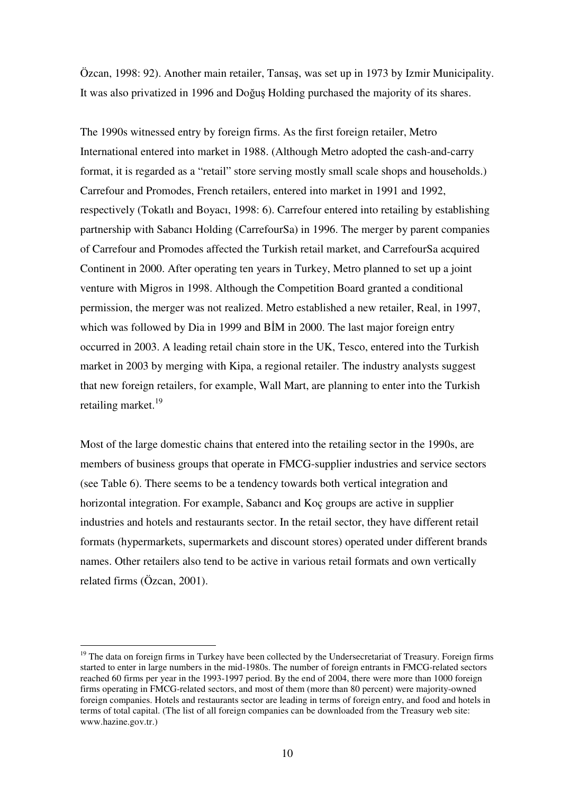Özcan, 1998: 92). Another main retailer, Tansas, was set up in 1973 by Izmir Municipality. It was also privatized in 1996 and Doğuş Holding purchased the majority of its shares.

The 1990s witnessed entry by foreign firms. As the first foreign retailer, Metro International entered into market in 1988. (Although Metro adopted the cash-and-carry format, it is regarded as a "retail" store serving mostly small scale shops and households.) Carrefour and Promodes, French retailers, entered into market in 1991 and 1992, respectively (Tokatlı and Boyacı, 1998: 6). Carrefour entered into retailing by establishing partnership with Sabancı Holding (CarrefourSa) in 1996. The merger by parent companies of Carrefour and Promodes affected the Turkish retail market, and CarrefourSa acquired Continent in 2000. After operating ten years in Turkey, Metro planned to set up a joint venture with Migros in 1998. Although the Competition Board granted a conditional permission, the merger was not realized. Metro established a new retailer, Real, in 1997, which was followed by Dia in 1999 and BIM in 2000. The last major foreign entry occurred in 2003. A leading retail chain store in the UK, Tesco, entered into the Turkish market in 2003 by merging with Kipa, a regional retailer. The industry analysts suggest that new foreign retailers, for example, Wall Mart, are planning to enter into the Turkish retailing market.<sup>19</sup>

Most of the large domestic chains that entered into the retailing sector in the 1990s, are members of business groups that operate in FMCG-supplier industries and service sectors (see Table 6). There seems to be a tendency towards both vertical integration and horizontal integration. For example, Sabancı and Koç groups are active in supplier industries and hotels and restaurants sector. In the retail sector, they have different retail formats (hypermarkets, supermarkets and discount stores) operated under different brands names. Other retailers also tend to be active in various retail formats and own vertically related firms (Özcan, 2001).

<sup>&</sup>lt;sup>19</sup> The data on foreign firms in Turkey have been collected by the Undersecretariat of Treasury. Foreign firms started to enter in large numbers in the mid-1980s. The number of foreign entrants in FMCG-related sectors reached 60 firms per year in the 1993-1997 period. By the end of 2004, there were more than 1000 foreign firms operating in FMCG-related sectors, and most of them (more than 80 percent) were majority-owned foreign companies. Hotels and restaurants sector are leading in terms of foreign entry, and food and hotels in terms of total capital. (The list of all foreign companies can be downloaded from the Treasury web site: www.hazine.gov.tr.)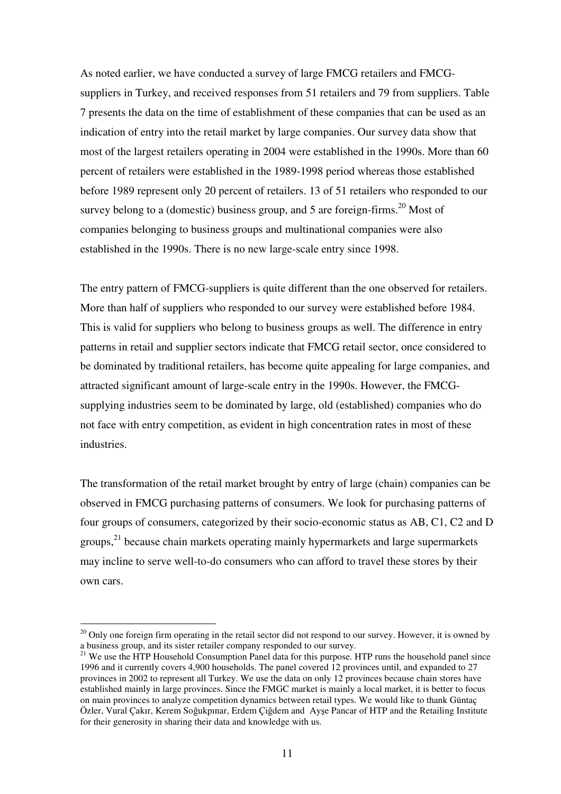As noted earlier, we have conducted a survey of large FMCG retailers and FMCGsuppliers in Turkey, and received responses from 51 retailers and 79 from suppliers. Table 7 presents the data on the time of establishment of these companies that can be used as an indication of entry into the retail market by large companies. Our survey data show that most of the largest retailers operating in 2004 were established in the 1990s. More than 60 percent of retailers were established in the 1989-1998 period whereas those established before 1989 represent only 20 percent of retailers. 13 of 51 retailers who responded to our survey belong to a (domestic) business group, and 5 are foreign-firms.<sup>20</sup> Most of companies belonging to business groups and multinational companies were also established in the 1990s. There is no new large-scale entry since 1998.

The entry pattern of FMCG-suppliers is quite different than the one observed for retailers. More than half of suppliers who responded to our survey were established before 1984. This is valid for suppliers who belong to business groups as well. The difference in entry patterns in retail and supplier sectors indicate that FMCG retail sector, once considered to be dominated by traditional retailers, has become quite appealing for large companies, and attracted significant amount of large-scale entry in the 1990s. However, the FMCGsupplying industries seem to be dominated by large, old (established) companies who do not face with entry competition, as evident in high concentration rates in most of these industries.

The transformation of the retail market brought by entry of large (chain) companies can be observed in FMCG purchasing patterns of consumers. We look for purchasing patterns of four groups of consumers, categorized by their socio-economic status as AB, C1, C2 and D groups,<sup>21</sup> because chain markets operating mainly hypermarkets and large supermarkets may incline to serve well-to-do consumers who can afford to travel these stores by their own cars.

 $20$  Only one foreign firm operating in the retail sector did not respond to our survey. However, it is owned by a business group, and its sister retailer company responded to our survey.

<sup>&</sup>lt;sup>21</sup> We use the HTP Household Consumption Panel data for this purpose. HTP runs the household panel since 1996 and it currently covers 4,900 households. The panel covered 12 provinces until, and expanded to 27 provinces in 2002 to represent all Turkey. We use the data on only 12 provinces because chain stores have established mainly in large provinces. Since the FMGC market is mainly a local market, it is better to focus on main provinces to analyze competition dynamics between retail types. We would like to thank Güntaç Özler, Vural Çakır, Kerem Soğukpınar, Erdem Çiğdem and Ayse Pancar of HTP and the Retailing Institute for their generosity in sharing their data and knowledge with us.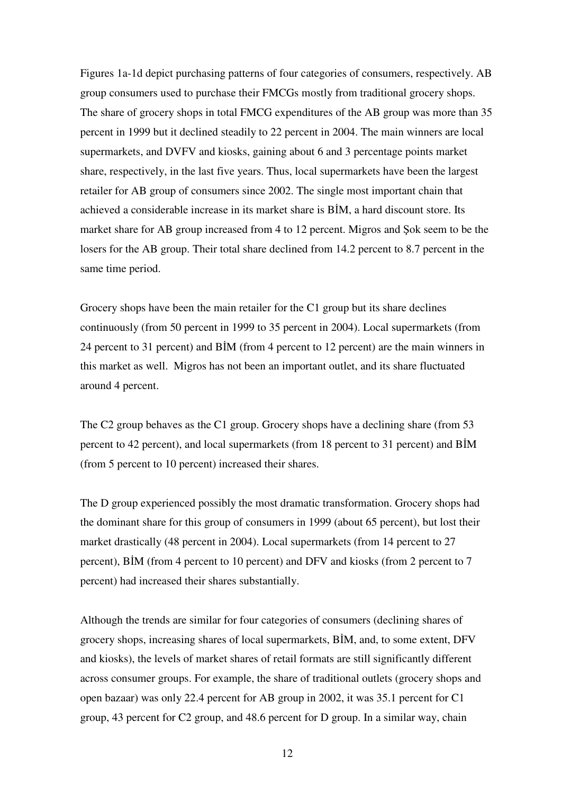Figures 1a-1d depict purchasing patterns of four categories of consumers, respectively. AB group consumers used to purchase their FMCGs mostly from traditional grocery shops. The share of grocery shops in total FMCG expenditures of the AB group was more than 35 percent in 1999 but it declined steadily to 22 percent in 2004. The main winners are local supermarkets, and DVFV and kiosks, gaining about 6 and 3 percentage points market share, respectively, in the last five years. Thus, local supermarkets have been the largest retailer for AB group of consumers since 2002. The single most important chain that achieved a considerable increase in its market share is BIM, a hard discount store. Its market share for AB group increased from 4 to 12 percent. Migros and Sok seem to be the losers for the AB group. Their total share declined from 14.2 percent to 8.7 percent in the same time period.

Grocery shops have been the main retailer for the C1 group but its share declines continuously (from 50 percent in 1999 to 35 percent in 2004). Local supermarkets (from 24 percent to 31 percent) and BIM (from 4 percent to 12 percent) are the main winners in this market as well. Migros has not been an important outlet, and its share fluctuated around 4 percent.

The C2 group behaves as the C1 group. Grocery shops have a declining share (from 53 percent to 42 percent), and local supermarkets (from 18 percent to 31 percent) and BIM (from 5 percent to 10 percent) increased their shares.

The D group experienced possibly the most dramatic transformation. Grocery shops had the dominant share for this group of consumers in 1999 (about 65 percent), but lost their market drastically (48 percent in 2004). Local supermarkets (from 14 percent to 27 percent), BIM (from 4 percent to 10 percent) and DFV and kiosks (from 2 percent to 7 percent) had increased their shares substantially.

Although the trends are similar for four categories of consumers (declining shares of grocery shops, increasing shares of local supermarkets, BIM, and, to some extent, DFV and kiosks), the levels of market shares of retail formats are still significantly different across consumer groups. For example, the share of traditional outlets (grocery shops and open bazaar) was only 22.4 percent for AB group in 2002, it was 35.1 percent for C1 group, 43 percent for C2 group, and 48.6 percent for D group. In a similar way, chain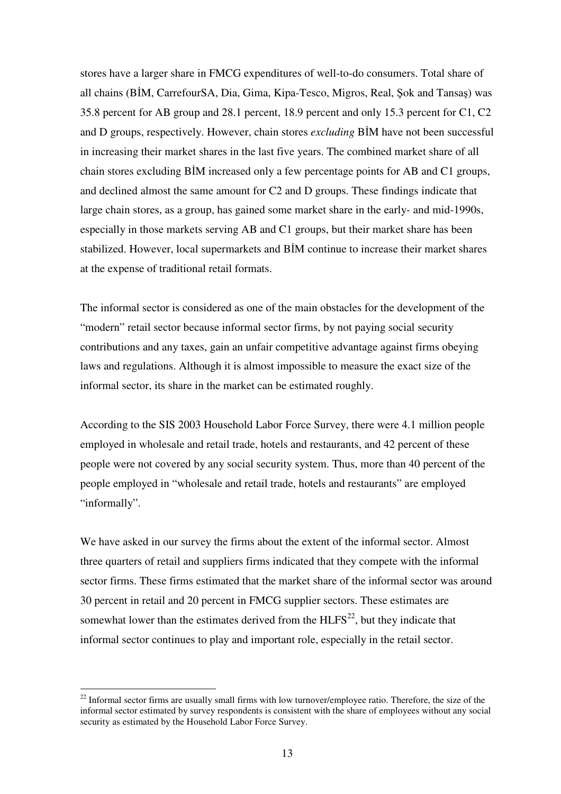stores have a larger share in FMCG expenditures of well-to-do consumers. Total share of all chains (BIM, CarrefourSA, Dia, Gima, Kipa-Tesco, Migros, Real, Şok and Tansaş) was 35.8 percent for AB group and 28.1 percent, 18.9 percent and only 15.3 percent for C1, C2 and D groups, respectively. However, chain stores *excluding* BIM have not been successful in increasing their market shares in the last five years. The combined market share of all chain stores excluding BIM increased only a few percentage points for AB and C1 groups, and declined almost the same amount for C2 and D groups. These findings indicate that large chain stores, as a group, has gained some market share in the early- and mid-1990s, especially in those markets serving AB and C1 groups, but their market share has been stabilized. However, local supermarkets and BIM continue to increase their market shares at the expense of traditional retail formats.

The informal sector is considered as one of the main obstacles for the development of the "modern" retail sector because informal sector firms, by not paying social security contributions and any taxes, gain an unfair competitive advantage against firms obeying laws and regulations. Although it is almost impossible to measure the exact size of the informal sector, its share in the market can be estimated roughly.

According to the SIS 2003 Household Labor Force Survey, there were 4.1 million people employed in wholesale and retail trade, hotels and restaurants, and 42 percent of these people were not covered by any social security system. Thus, more than 40 percent of the people employed in "wholesale and retail trade, hotels and restaurants" are employed "informally".

We have asked in our survey the firms about the extent of the informal sector. Almost three quarters of retail and suppliers firms indicated that they compete with the informal sector firms. These firms estimated that the market share of the informal sector was around 30 percent in retail and 20 percent in FMCG supplier sectors. These estimates are somewhat lower than the estimates derived from the  $HLFS<sup>22</sup>$ , but they indicate that informal sector continues to play and important role, especially in the retail sector.

 $22$  Informal sector firms are usually small firms with low turnover/employee ratio. Therefore, the size of the informal sector estimated by survey respondents is consistent with the share of employees without any social security as estimated by the Household Labor Force Survey.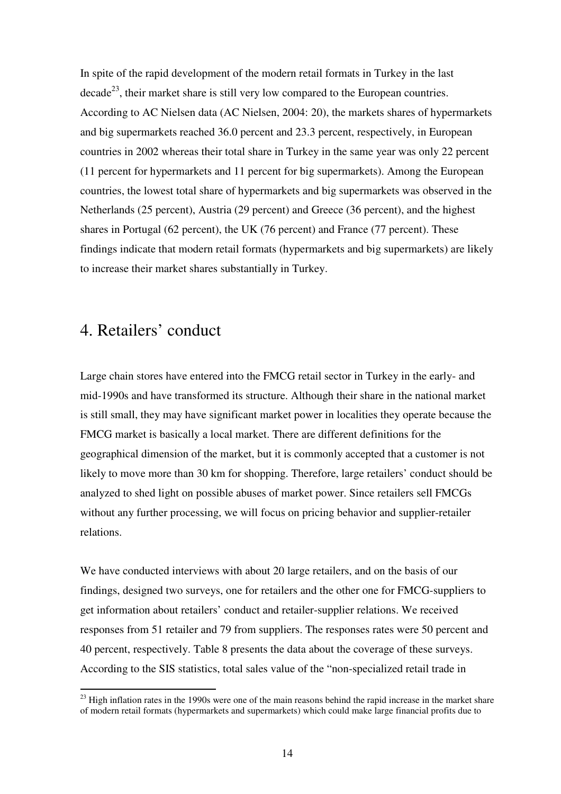In spite of the rapid development of the modern retail formats in Turkey in the last decade<sup>23</sup>, their market share is still very low compared to the European countries. According to AC Nielsen data (AC Nielsen, 2004: 20), the markets shares of hypermarkets and big supermarkets reached 36.0 percent and 23.3 percent, respectively, in European countries in 2002 whereas their total share in Turkey in the same year was only 22 percent (11 percent for hypermarkets and 11 percent for big supermarkets). Among the European countries, the lowest total share of hypermarkets and big supermarkets was observed in the Netherlands (25 percent), Austria (29 percent) and Greece (36 percent), and the highest shares in Portugal (62 percent), the UK (76 percent) and France (77 percent). These findings indicate that modern retail formats (hypermarkets and big supermarkets) are likely to increase their market shares substantially in Turkey.

## 4. Retailers' conduct

Large chain stores have entered into the FMCG retail sector in Turkey in the early- and mid-1990s and have transformed its structure. Although their share in the national market is still small, they may have significant market power in localities they operate because the FMCG market is basically a local market. There are different definitions for the geographical dimension of the market, but it is commonly accepted that a customer is not likely to move more than 30 km for shopping. Therefore, large retailers' conduct should be analyzed to shed light on possible abuses of market power. Since retailers sell FMCGs without any further processing, we will focus on pricing behavior and supplier-retailer relations.

We have conducted interviews with about 20 large retailers, and on the basis of our findings, designed two surveys, one for retailers and the other one for FMCG-suppliers to get information about retailers' conduct and retailer-supplier relations. We received responses from 51 retailer and 79 from suppliers. The responses rates were 50 percent and 40 percent, respectively. Table 8 presents the data about the coverage of these surveys. According to the SIS statistics, total sales value of the "non-specialized retail trade in

 $23$  High inflation rates in the 1990s were one of the main reasons behind the rapid increase in the market share of modern retail formats (hypermarkets and supermarkets) which could make large financial profits due to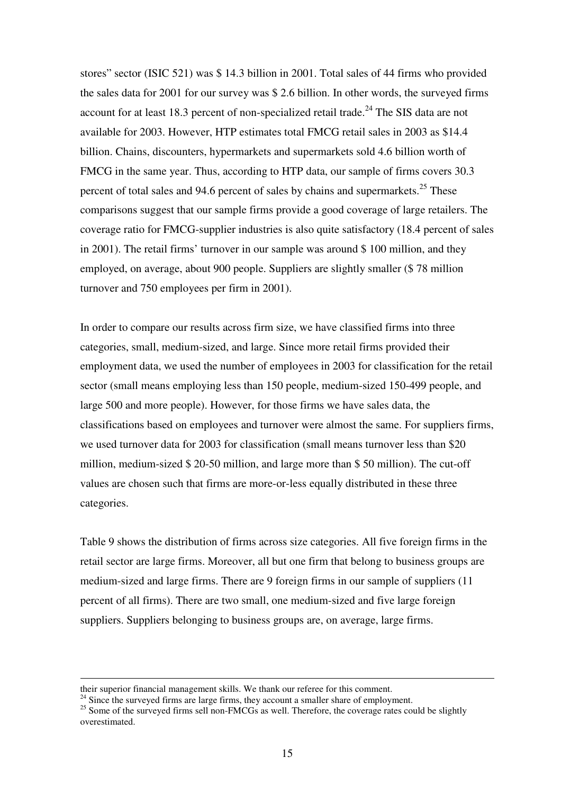stores" sector (ISIC 521) was \$ 14.3 billion in 2001. Total sales of 44 firms who provided the sales data for 2001 for our survey was \$ 2.6 billion. In other words, the surveyed firms account for at least 18.3 percent of non-specialized retail trade.<sup>24</sup> The SIS data are not available for 2003. However, HTP estimates total FMCG retail sales in 2003 as \$14.4 billion. Chains, discounters, hypermarkets and supermarkets sold 4.6 billion worth of FMCG in the same year. Thus, according to HTP data, our sample of firms covers 30.3 percent of total sales and 94.6 percent of sales by chains and supermarkets.<sup>25</sup> These comparisons suggest that our sample firms provide a good coverage of large retailers. The coverage ratio for FMCG-supplier industries is also quite satisfactory (18.4 percent of sales in 2001). The retail firms' turnover in our sample was around \$ 100 million, and they employed, on average, about 900 people. Suppliers are slightly smaller (\$ 78 million turnover and 750 employees per firm in 2001).

In order to compare our results across firm size, we have classified firms into three categories, small, medium-sized, and large. Since more retail firms provided their employment data, we used the number of employees in 2003 for classification for the retail sector (small means employing less than 150 people, medium-sized 150-499 people, and large 500 and more people). However, for those firms we have sales data, the classifications based on employees and turnover were almost the same. For suppliers firms, we used turnover data for 2003 for classification (small means turnover less than \$20 million, medium-sized \$ 20-50 million, and large more than \$ 50 million). The cut-off values are chosen such that firms are more-or-less equally distributed in these three categories.

Table 9 shows the distribution of firms across size categories. All five foreign firms in the retail sector are large firms. Moreover, all but one firm that belong to business groups are medium-sized and large firms. There are 9 foreign firms in our sample of suppliers (11 percent of all firms). There are two small, one medium-sized and five large foreign suppliers. Suppliers belonging to business groups are, on average, large firms.

their superior financial management skills. We thank our referee for this comment.

 $24$  Since the surveyed firms are large firms, they account a smaller share of employment.

<sup>&</sup>lt;sup>25</sup> Some of the surveyed firms sell non-FMCGs as well. Therefore, the coverage rates could be slightly overestimated.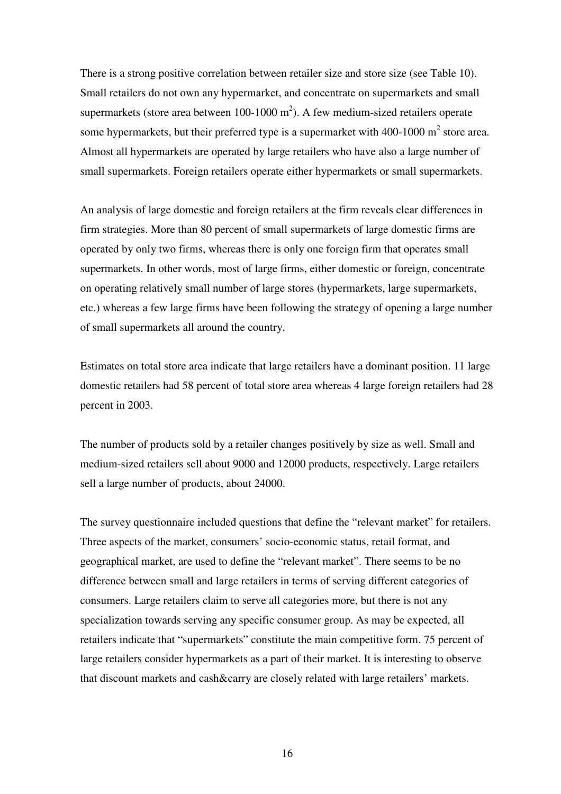There is a strong positive correlation between retailer size and store size (see Table 10). Small retailers do not own any hypermarket, and concentrate on supermarkets and small supermarkets (store area between  $100-1000$  m<sup>2</sup>). A few medium-sized retailers operate some hypermarkets, but their preferred type is a supermarket with 400-1000  $m^2$  store area. Almost all hypermarkets are operated by large retailers who have also a large number of small supermarkets. Foreign retailers operate either hypermarkets or small supermarkets.

An analysis of large domestic and foreign retailers at the firm reveals clear differences in firm strategies. More than 80 percent of small supermarkets of large domestic firms are operated by only two firms, whereas there is only one foreign firm that operates small supermarkets. In other words, most of large firms, either domestic or foreign, concentrate on operating relatively small number of large stores (hypermarkets, large supermarkets, etc.) whereas a few large firms have been following the strategy of opening a large number of small supermarkets all around the country.

Estimates on total store area indicate that large retailers have a dominant position. 11 large domestic retailers had 58 percent of total store area whereas 4 large foreign retailers had 28 percent in 2003.

The number of products sold by a retailer changes positively by size as well. Small and medium-sized retailers sell about 9000 and 12000 products, respectively. Large retailers sell a large number of products, about 24000.

The survey questionnaire included questions that define the "relevant market" for retailers. Three aspects of the market, consumers' socio-economic status, retail format, and geographical market, are used to define the "relevant market". There seems to be no difference between small and large retailers in terms of serving different categories of consumers. Large retailers claim to serve all categories more, but there is not any specialization towards serving any specific consumer group. As may be expected, all retailers indicate that "supermarkets" constitute the main competitive form. 75 percent of large retailers consider hypermarkets as a part of their market. It is interesting to observe that discount markets and cash&carry are closely related with large retailers' markets.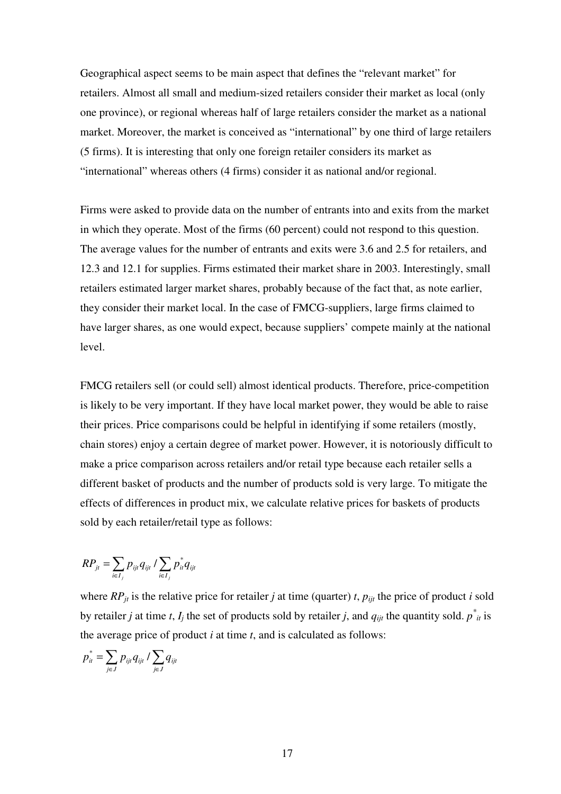Geographical aspect seems to be main aspect that defines the "relevant market" for retailers. Almost all small and medium-sized retailers consider their market as local (only one province), or regional whereas half of large retailers consider the market as a national market. Moreover, the market is conceived as "international" by one third of large retailers (5 firms). It is interesting that only one foreign retailer considers its market as "international" whereas others (4 firms) consider it as national and/or regional.

Firms were asked to provide data on the number of entrants into and exits from the market in which they operate. Most of the firms (60 percent) could not respond to this question. The average values for the number of entrants and exits were 3.6 and 2.5 for retailers, and 12.3 and 12.1 for supplies. Firms estimated their market share in 2003. Interestingly, small retailers estimated larger market shares, probably because of the fact that, as note earlier, they consider their market local. In the case of FMCG-suppliers, large firms claimed to have larger shares, as one would expect, because suppliers' compete mainly at the national level.

FMCG retailers sell (or could sell) almost identical products. Therefore, price-competition is likely to be very important. If they have local market power, they would be able to raise their prices. Price comparisons could be helpful in identifying if some retailers (mostly, chain stores) enjoy a certain degree of market power. However, it is notoriously difficult to make a price comparison across retailers and/or retail type because each retailer sells a different basket of products and the number of products sold is very large. To mitigate the effects of differences in product mix, we calculate relative prices for baskets of products sold by each retailer/retail type as follows:

$$
RP_{jt} = \sum_{i \in I_j} p_{ijt} q_{ijt} / \sum_{i \in I_j} p_{it}^* q_{ijt}
$$

where  $RP_{it}$  is the relative price for retailer *j* at time (quarter) *t*,  $p_{it}$  the price of product *i* sold by retailer *j* at time *t*, *I<sub>j</sub>* the set of products sold by retailer *j*, and  $q_{ijt}$  the quantity sold.  $p^*_{it}$  is the average price of product *i* at time *t*, and is calculated as follows:

$$
p_{it}^* = \sum_{j \in J} p_{ijt} q_{ijt} / \sum_{j \in J} q_{ijt}
$$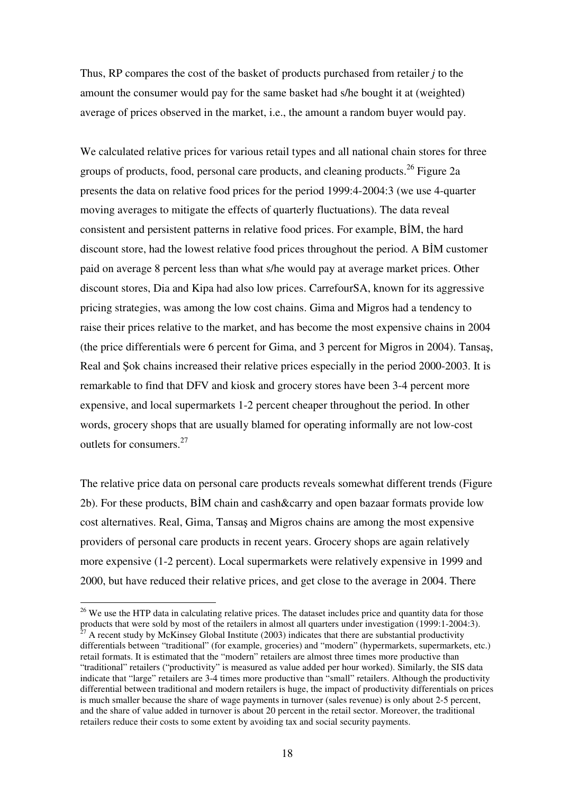Thus, RP compares the cost of the basket of products purchased from retailer *j* to the amount the consumer would pay for the same basket had s/he bought it at (weighted) average of prices observed in the market, i.e., the amount a random buyer would pay.

We calculated relative prices for various retail types and all national chain stores for three groups of products, food, personal care products, and cleaning products. 26 Figure 2a presents the data on relative food prices for the period 1999:4-2004:3 (we use 4-quarter moving averages to mitigate the effects of quarterly fluctuations). The data reveal consistent and persistent patterns in relative food prices. For example, BIM, the hard discount store, had the lowest relative food prices throughout the period. A BIM customer paid on average 8 percent less than what s/he would pay at average market prices. Other discount stores, Dia and Kipa had also low prices. CarrefourSA, known for its aggressive pricing strategies, was among the low cost chains. Gima and Migros had a tendency to raise their prices relative to the market, and has become the most expensive chains in 2004 (the price differentials were 6 percent for Gima, and 3 percent for Migros in 2004). Tansa, Real and Sok chains increased their relative prices especially in the period 2000-2003. It is remarkable to find that DFV and kiosk and grocery stores have been 3-4 percent more expensive, and local supermarkets 1-2 percent cheaper throughout the period. In other words, grocery shops that are usually blamed for operating informally are not low-cost outlets for consumers. 27

The relative price data on personal care products reveals somewhat different trends (Figure 2b). For these products, BIM chain and cash&carry and open bazaar formats provide low cost alternatives. Real, Gima, Tansas and Migros chains are among the most expensive providers of personal care products in recent years. Grocery shops are again relatively more expensive (1-2 percent). Local supermarkets were relatively expensive in 1999 and 2000, but have reduced their relative prices, and get close to the average in 2004. There

<sup>&</sup>lt;sup>26</sup> We use the HTP data in calculating relative prices. The dataset includes price and quantity data for those products that were sold by most of the retailers in almost all quarters under investigation (1999:1-2004:3). <sup>27</sup> A recent study by McKinsey Global Institute (2003) indicates that there are substantial productivity differentials between "traditional" (for example, groceries) and "modern" (hypermarkets, supermarkets, etc.) retail formats. It is estimated that the "modern" retailers are almost three times more productive than "traditional" retailers ("productivity" is measured as value added per hour worked). Similarly, the SIS data indicate that "large" retailers are 3-4 times more productive than "small" retailers. Although the productivity differential between traditional and modern retailers is huge, the impact of productivity differentials on prices is much smaller because the share of wage payments in turnover (sales revenue) is only about 2-5 percent, and the share of value added in turnover is about 20 percent in the retail sector. Moreover, the traditional retailers reduce their costs to some extent by avoiding tax and social security payments.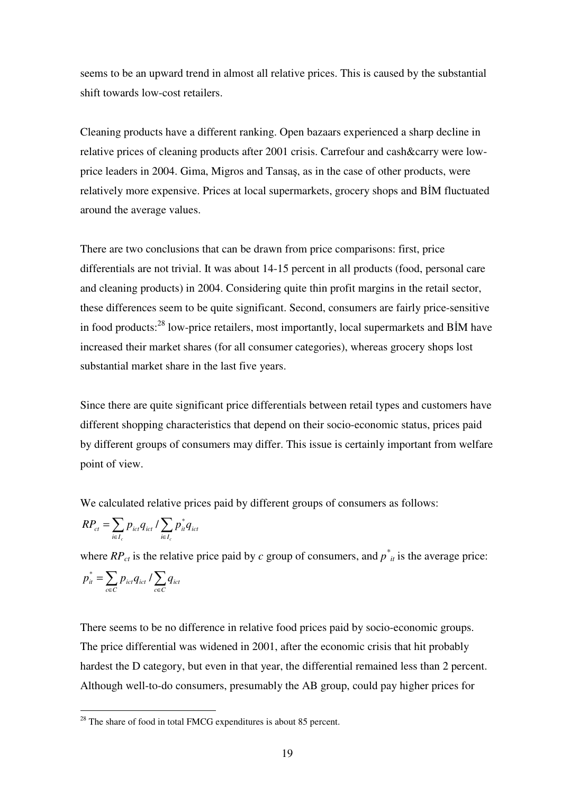seems to be an upward trend in almost all relative prices. This is caused by the substantial shift towards low-cost retailers.

Cleaning products have a different ranking. Open bazaars experienced a sharp decline in relative prices of cleaning products after 2001 crisis. Carrefour and cash&carry were lowprice leaders in 2004. Gima, Migros and Tansas, as in the case of other products, were relatively more expensive. Prices at local supermarkets, grocery shops and BIM fluctuated around the average values.

There are two conclusions that can be drawn from price comparisons: first, price differentials are not trivial. It was about 14-15 percent in all products (food, personal care and cleaning products) in 2004. Considering quite thin profit margins in the retail sector, these differences seem to be quite significant. Second, consumers are fairly price-sensitive in food products:<sup>28</sup> low-price retailers, most importantly, local supermarkets and BIM have increased their market shares (for all consumer categories), whereas grocery shops lost substantial market share in the last five years.

Since there are quite significant price differentials between retail types and customers have different shopping characteristics that depend on their socio-economic status, prices paid by different groups of consumers may differ. This issue is certainly important from welfare point of view.

We calculated relative prices paid by different groups of consumers as follows:

$$
RP_{ct} = \sum_{i \in I_c} p_{ict} q_{ict} / \sum_{i \in I_c} p_{it}^* q_{ict}
$$

where  $RP_{ct}$  is the relative price paid by *c* group of consumers, and  $p^*_{it}$  is the average price:

$$
p_{it}^* = \sum_{c \in C} p_{ict} q_{ict} / \sum_{c \in C} q_{ict}
$$

There seems to be no difference in relative food prices paid by socio-economic groups. The price differential was widened in 2001, after the economic crisis that hit probably hardest the D category, but even in that year, the differential remained less than 2 percent. Although well-to-do consumers, presumably the AB group, could pay higher prices for

 $28$  The share of food in total FMCG expenditures is about 85 percent.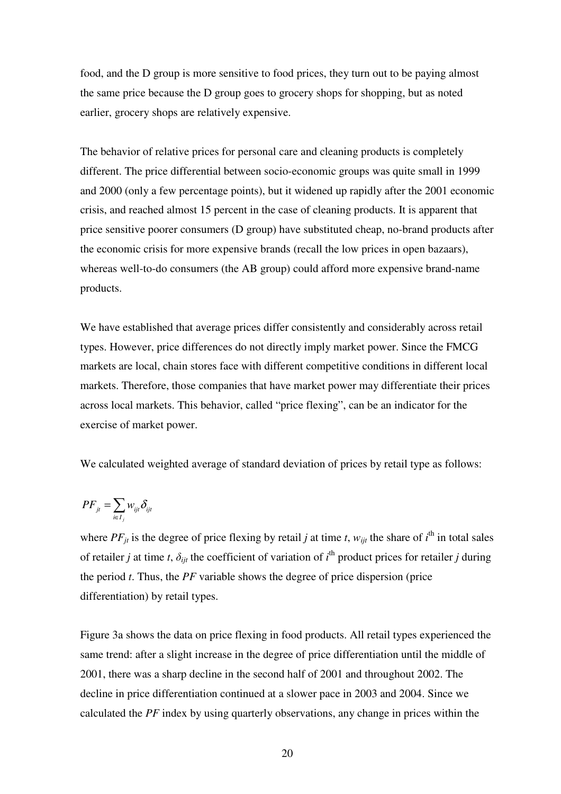food, and the D group is more sensitive to food prices, they turn out to be paying almost the same price because the D group goes to grocery shops for shopping, but as noted earlier, grocery shops are relatively expensive.

The behavior of relative prices for personal care and cleaning products is completely different. The price differential between socio-economic groups was quite small in 1999 and 2000 (only a few percentage points), but it widened up rapidly after the 2001 economic crisis, and reached almost 15 percent in the case of cleaning products. It is apparent that price sensitive poorer consumers (D group) have substituted cheap, no-brand products after the economic crisis for more expensive brands (recall the low prices in open bazaars), whereas well-to-do consumers (the AB group) could afford more expensive brand-name products.

We have established that average prices differ consistently and considerably across retail types. However, price differences do not directly imply market power. Since the FMCG markets are local, chain stores face with different competitive conditions in different local markets. Therefore, those companies that have market power may differentiate their prices across local markets. This behavior, called "price flexing", can be an indicator for the exercise of market power.

We calculated weighted average of standard deviation of prices by retail type as follows:

$$
PF_{jt} = \sum_{i \in I_j} w_{ijt} \delta_{ijt}
$$

where  $PF_{jt}$  is the degree of price flexing by retail *j* at time *t*,  $w_{ijt}$  the share of  $i^{\text{th}}$  in total sales of retailer *j* at time *t*,  $\delta_{ijt}$  the coefficient of variation of *i*<sup>th</sup> product prices for retailer *j* during the period *t*. Thus, the *PF* variable shows the degree of price dispersion (price differentiation) by retail types.

Figure 3a shows the data on price flexing in food products. All retail types experienced the same trend: after a slight increase in the degree of price differentiation until the middle of 2001, there was a sharp decline in the second half of 2001 and throughout 2002. The decline in price differentiation continued at a slower pace in 2003 and 2004. Since we calculated the *PF* index by using quarterly observations, any change in prices within the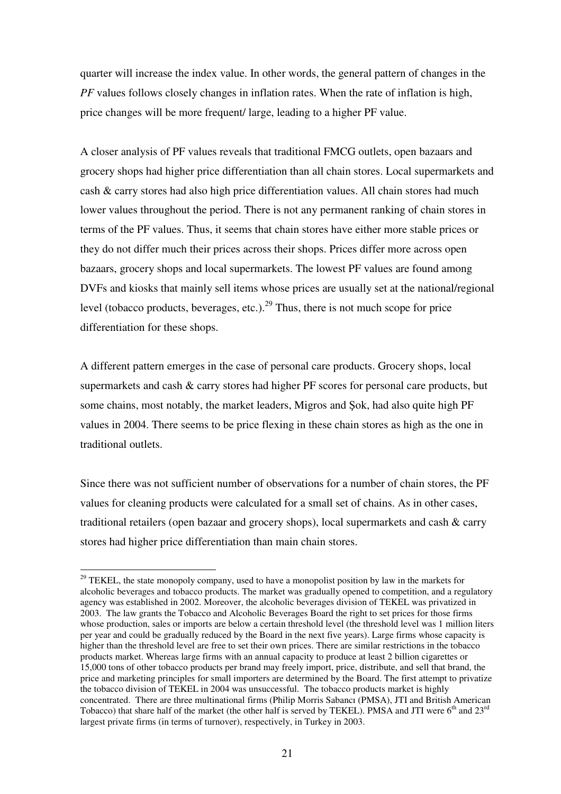quarter will increase the index value. In other words, the general pattern of changes in the *PF* values follows closely changes in inflation rates. When the rate of inflation is high, price changes will be more frequent/ large, leading to a higher PF value.

A closer analysis of PF values reveals that traditional FMCG outlets, open bazaars and grocery shops had higher price differentiation than all chain stores. Local supermarkets and cash & carry stores had also high price differentiation values. All chain stores had much lower values throughout the period. There is not any permanent ranking of chain stores in terms of the PF values. Thus, it seems that chain stores have either more stable prices or they do not differ much their prices across their shops. Prices differ more across open bazaars, grocery shops and local supermarkets. The lowest PF values are found among DVFs and kiosks that mainly sell items whose prices are usually set at the national/regional level (tobacco products, beverages, etc.).<sup>29</sup> Thus, there is not much scope for price differentiation for these shops.

A different pattern emerges in the case of personal care products. Grocery shops, local supermarkets and cash & carry stores had higher PF scores for personal care products, but some chains, most notably, the market leaders, Migros and Sok, had also quite high PF values in 2004. There seems to be price flexing in these chain stores as high as the one in traditional outlets.

Since there was not sufficient number of observations for a number of chain stores, the PF values for cleaning products were calculated for a small set of chains. As in other cases, traditional retailers (open bazaar and grocery shops), local supermarkets and cash & carry stores had higher price differentiation than main chain stores.

<sup>&</sup>lt;sup>29</sup> TEKEL, the state monopoly company, used to have a monopolist position by law in the markets for alcoholic beverages and tobacco products. The market was gradually opened to competition, and a regulatory agency was established in 2002. Moreover, the alcoholic beverages division of TEKEL was privatized in 2003. The law grants the Tobacco and Alcoholic Beverages Board the right to set prices for those firms whose production, sales or imports are below a certain threshold level (the threshold level was 1 million liters per year and could be gradually reduced by the Board in the next five years). Large firms whose capacity is higher than the threshold level are free to set their own prices. There are similar restrictions in the tobacco products market. Whereas large firms with an annual capacity to produce at least 2 billion cigarettes or 15,000 tons of other tobacco products per brand may freely import, price, distribute, and sell that brand, the price and marketing principles for small importers are determined by the Board. The first attempt to privatize the tobacco division of TEKEL in 2004 was unsuccessful. The tobacco products market is highly concentrated. There are three multinational firms (Philip Morris Sabancı (PMSA), JTI and British American Tobacco) that share half of the market (the other half is served by TEKEL). PMSA and JTI were  $6<sup>th</sup>$  and  $23<sup>rd</sup>$ largest private firms (in terms of turnover), respectively, in Turkey in 2003.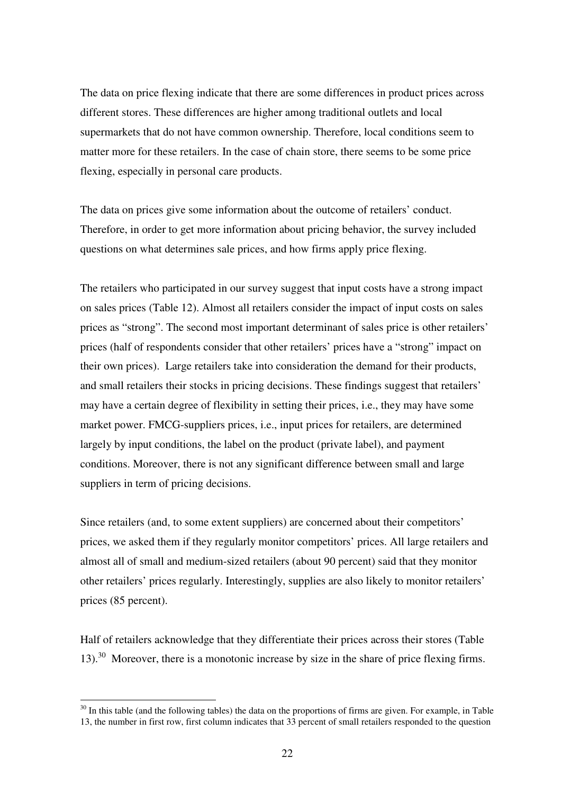The data on price flexing indicate that there are some differences in product prices across different stores. These differences are higher among traditional outlets and local supermarkets that do not have common ownership. Therefore, local conditions seem to matter more for these retailers. In the case of chain store, there seems to be some price flexing, especially in personal care products.

The data on prices give some information about the outcome of retailers' conduct. Therefore, in order to get more information about pricing behavior, the survey included questions on what determines sale prices, and how firms apply price flexing.

The retailers who participated in our survey suggest that input costs have a strong impact on sales prices (Table 12). Almost all retailers consider the impact of input costs on sales prices as "strong". The second most important determinant of sales price is other retailers' prices (half of respondents consider that other retailers' prices have a "strong" impact on their own prices). Large retailers take into consideration the demand for their products, and small retailers their stocks in pricing decisions. These findings suggest that retailers' may have a certain degree of flexibility in setting their prices, i.e., they may have some market power. FMCG-suppliers prices, i.e., input prices for retailers, are determined largely by input conditions, the label on the product (private label), and payment conditions. Moreover, there is not any significant difference between small and large suppliers in term of pricing decisions.

Since retailers (and, to some extent suppliers) are concerned about their competitors' prices, we asked them if they regularly monitor competitors' prices. All large retailers and almost all of small and medium-sized retailers (about 90 percent) said that they monitor other retailers' prices regularly. Interestingly, supplies are also likely to monitor retailers' prices (85 percent).

Half of retailers acknowledge that they differentiate their prices across their stores (Table 13).<sup>30</sup> Moreover, there is a monotonic increase by size in the share of price flexing firms.

<sup>&</sup>lt;sup>30</sup> In this table (and the following tables) the data on the proportions of firms are given. For example, in Table 13, the number in first row, first column indicates that 33 percent of small retailers responded to the question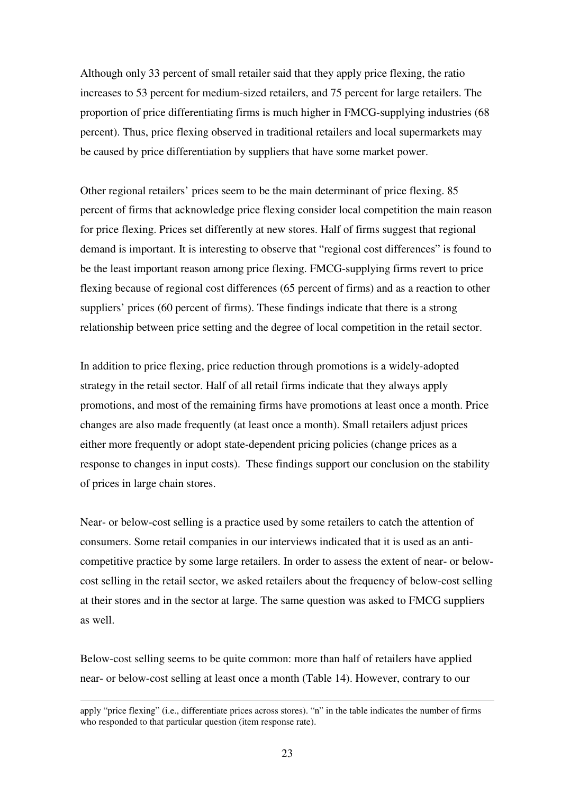Although only 33 percent of small retailer said that they apply price flexing, the ratio increases to 53 percent for medium-sized retailers, and 75 percent for large retailers. The proportion of price differentiating firms is much higher in FMCG-supplying industries (68 percent). Thus, price flexing observed in traditional retailers and local supermarkets may be caused by price differentiation by suppliers that have some market power.

Other regional retailers' prices seem to be the main determinant of price flexing. 85 percent of firms that acknowledge price flexing consider local competition the main reason for price flexing. Prices set differently at new stores. Half of firms suggest that regional demand is important. It is interesting to observe that "regional cost differences" is found to be the least important reason among price flexing. FMCG-supplying firms revert to price flexing because of regional cost differences (65 percent of firms) and as a reaction to other suppliers' prices (60 percent of firms). These findings indicate that there is a strong relationship between price setting and the degree of local competition in the retail sector.

In addition to price flexing, price reduction through promotions is a widely-adopted strategy in the retail sector. Half of all retail firms indicate that they always apply promotions, and most of the remaining firms have promotions at least once a month. Price changes are also made frequently (at least once a month). Small retailers adjust prices either more frequently or adopt state-dependent pricing policies (change prices as a response to changes in input costs). These findings support our conclusion on the stability of prices in large chain stores.

Near- or below-cost selling is a practice used by some retailers to catch the attention of consumers. Some retail companies in our interviews indicated that it is used as an anticompetitive practice by some large retailers. In order to assess the extent of near- or belowcost selling in the retail sector, we asked retailers about the frequency of below-cost selling at their stores and in the sector at large. The same question was asked to FMCG suppliers as well.

Below-cost selling seems to be quite common: more than half of retailers have applied near- or below-cost selling at least once a month (Table 14). However, contrary to our

apply "price flexing" (i.e., differentiate prices across stores). "n" in the table indicates the number of firms who responded to that particular question (item response rate).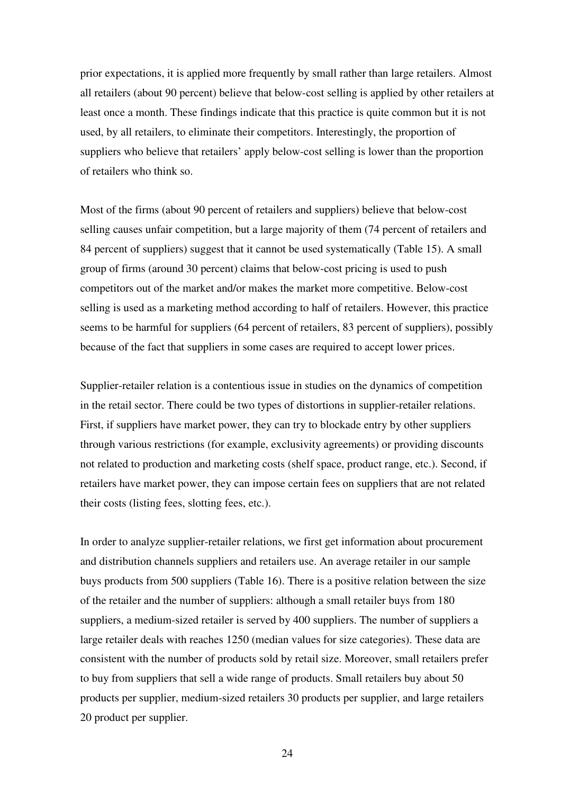prior expectations, it is applied more frequently by small rather than large retailers. Almost all retailers (about 90 percent) believe that below-cost selling is applied by other retailers at least once a month. These findings indicate that this practice is quite common but it is not used, by all retailers, to eliminate their competitors. Interestingly, the proportion of suppliers who believe that retailers' apply below-cost selling is lower than the proportion of retailers who think so.

Most of the firms (about 90 percent of retailers and suppliers) believe that below-cost selling causes unfair competition, but a large majority of them (74 percent of retailers and 84 percent of suppliers) suggest that it cannot be used systematically (Table 15). A small group of firms (around 30 percent) claims that below-cost pricing is used to push competitors out of the market and/or makes the market more competitive. Below-cost selling is used as a marketing method according to half of retailers. However, this practice seems to be harmful for suppliers (64 percent of retailers, 83 percent of suppliers), possibly because of the fact that suppliers in some cases are required to accept lower prices.

Supplier-retailer relation is a contentious issue in studies on the dynamics of competition in the retail sector. There could be two types of distortions in supplier-retailer relations. First, if suppliers have market power, they can try to blockade entry by other suppliers through various restrictions (for example, exclusivity agreements) or providing discounts not related to production and marketing costs (shelf space, product range, etc.). Second, if retailers have market power, they can impose certain fees on suppliers that are not related their costs (listing fees, slotting fees, etc.).

In order to analyze supplier-retailer relations, we first get information about procurement and distribution channels suppliers and retailers use. An average retailer in our sample buys products from 500 suppliers (Table 16). There is a positive relation between the size of the retailer and the number of suppliers: although a small retailer buys from 180 suppliers, a medium-sized retailer is served by 400 suppliers. The number of suppliers a large retailer deals with reaches 1250 (median values for size categories). These data are consistent with the number of products sold by retail size. Moreover, small retailers prefer to buy from suppliers that sell a wide range of products. Small retailers buy about 50 products per supplier, medium-sized retailers 30 products per supplier, and large retailers 20 product per supplier.

24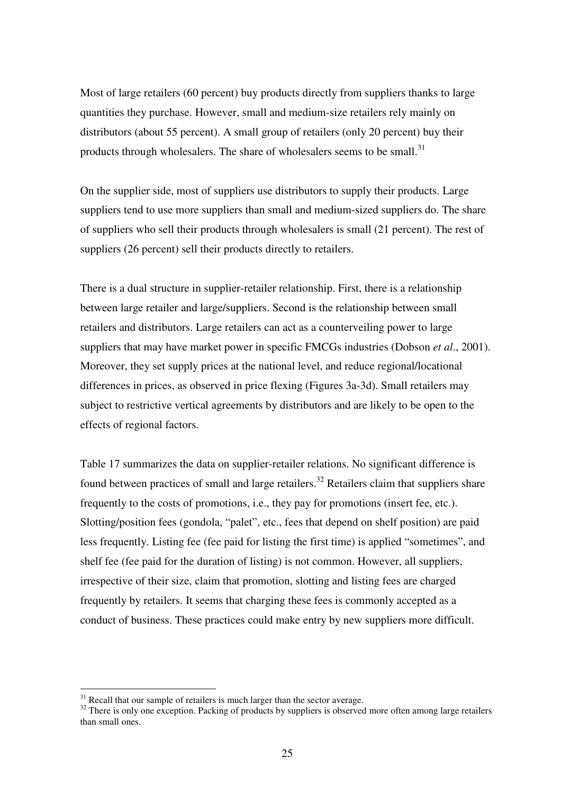Most of large retailers (60 percent) buy products directly from suppliers thanks to large quantities they purchase. However, small and medium-size retailers rely mainly on distributors (about 55 percent). A small group of retailers (only 20 percent) buy their products through wholesalers. The share of wholesalers seems to be small.<sup>31</sup>

On the supplier side, most of suppliers use distributors to supply their products. Large suppliers tend to use more suppliers than small and medium-sized suppliers do. The share of suppliers who sell their products through wholesalers is small (21 percent). The rest of suppliers (26 percent) sell their products directly to retailers.

There is a dual structure in supplier-retailer relationship. First, there is a relationship between large retailer and large/suppliers. Second is the relationship between small retailers and distributors. Large retailers can act as a counterveiling power to large suppliers that may have market power in specific FMCGs industries (Dobson *et al*., 2001). Moreover, they set supply prices at the national level, and reduce regional/locational differences in prices, as observed in price flexing (Figures 3a-3d). Small retailers may subject to restrictive vertical agreements by distributors and are likely to be open to the effects of regional factors.

Table 17 summarizes the data on supplier-retailer relations. No significant difference is found between practices of small and large retailers.<sup>32</sup> Retailers claim that suppliers share frequently to the costs of promotions, i.e., they pay for promotions (insert fee, etc.). Slotting/position fees (gondola, "palet", etc., fees that depend on shelf position) are paid less frequently. Listing fee (fee paid for listing the first time) is applied "sometimes", and shelf fee (fee paid for the duration of listing) is not common. However, all suppliers, irrespective of their size, claim that promotion, slotting and listing fees are charged frequently by retailers. It seems that charging these fees is commonly accepted as a conduct of business. These practices could make entry by new suppliers more difficult.

 $31$  Recall that our sample of retailers is much larger than the sector average.

<sup>&</sup>lt;sup>32</sup> There is only one exception. Packing of products by suppliers is observed more often among large retailers than small ones.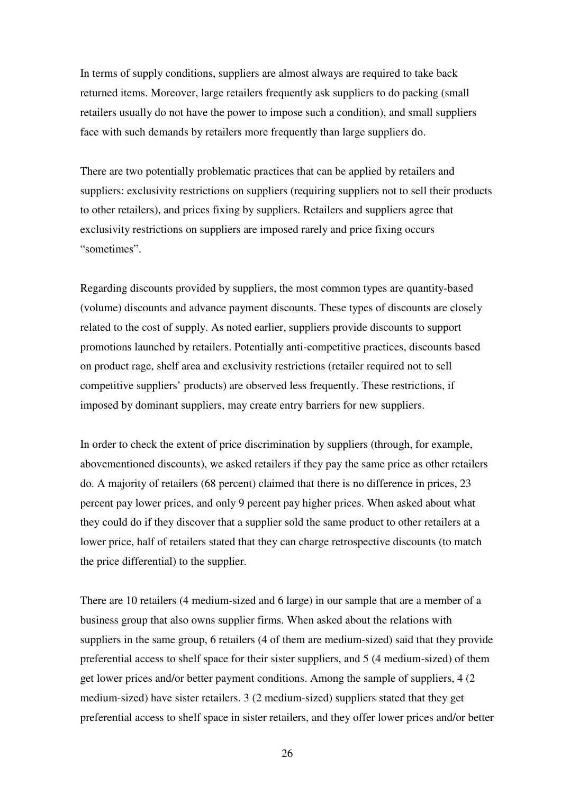In terms of supply conditions, suppliers are almost always are required to take back returned items. Moreover, large retailers frequently ask suppliers to do packing (small retailers usually do not have the power to impose such a condition), and small suppliers face with such demands by retailers more frequently than large suppliers do.

There are two potentially problematic practices that can be applied by retailers and suppliers: exclusivity restrictions on suppliers (requiring suppliers not to sell their products to other retailers), and prices fixing by suppliers. Retailers and suppliers agree that exclusivity restrictions on suppliers are imposed rarely and price fixing occurs "sometimes".

Regarding discounts provided by suppliers, the most common types are quantity-based (volume) discounts and advance payment discounts. These types of discounts are closely related to the cost of supply. As noted earlier, suppliers provide discounts to support promotions launched by retailers. Potentially anti-competitive practices, discounts based on product rage, shelf area and exclusivity restrictions (retailer required not to sell competitive suppliers' products) are observed less frequently. These restrictions, if imposed by dominant suppliers, may create entry barriers for new suppliers.

In order to check the extent of price discrimination by suppliers (through, for example, abovementioned discounts), we asked retailers if they pay the same price as other retailers do. A majority of retailers (68 percent) claimed that there is no difference in prices, 23 percent pay lower prices, and only 9 percent pay higher prices. When asked about what they could do if they discover that a supplier sold the same product to other retailers at a lower price, half of retailers stated that they can charge retrospective discounts (to match the price differential) to the supplier.

There are 10 retailers (4 medium-sized and 6 large) in our sample that are a member of a business group that also owns supplier firms. When asked about the relations with suppliers in the same group, 6 retailers (4 of them are medium-sized) said that they provide preferential access to shelf space for their sister suppliers, and 5 (4 medium-sized) of them get lower prices and/or better payment conditions. Among the sample of suppliers, 4 (2 medium-sized) have sister retailers. 3 (2 medium-sized) suppliers stated that they get preferential access to shelf space in sister retailers, and they offer lower prices and/or better

26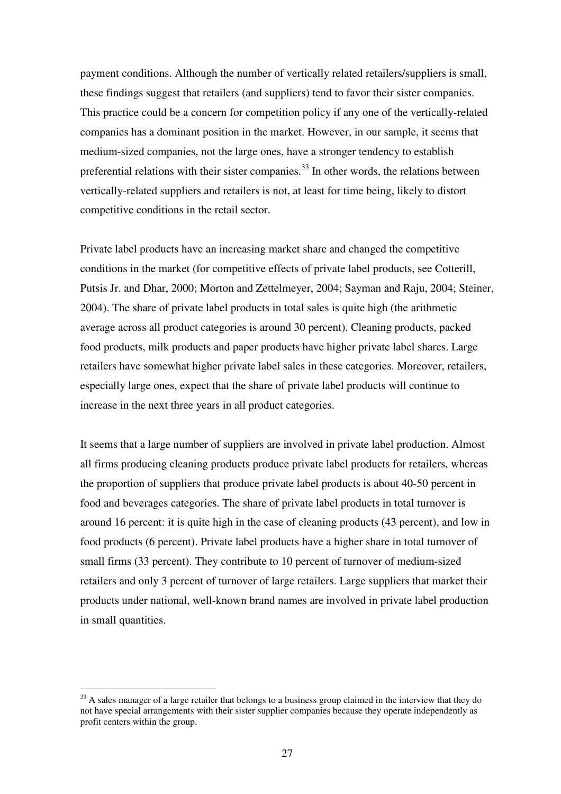payment conditions. Although the number of vertically related retailers/suppliers is small, these findings suggest that retailers (and suppliers) tend to favor their sister companies. This practice could be a concern for competition policy if any one of the vertically-related companies has a dominant position in the market. However, in our sample, it seems that medium-sized companies, not the large ones, have a stronger tendency to establish preferential relations with their sister companies.<sup>33</sup> In other words, the relations between vertically-related suppliers and retailers is not, at least for time being, likely to distort competitive conditions in the retail sector.

Private label products have an increasing market share and changed the competitive conditions in the market (for competitive effects of private label products, see Cotterill, Putsis Jr. and Dhar, 2000; Morton and Zettelmeyer, 2004; Sayman and Raju, 2004; Steiner, 2004). The share of private label products in total sales is quite high (the arithmetic average across all product categories is around 30 percent). Cleaning products, packed food products, milk products and paper products have higher private label shares. Large retailers have somewhat higher private label sales in these categories. Moreover, retailers, especially large ones, expect that the share of private label products will continue to increase in the next three years in all product categories.

It seems that a large number of suppliers are involved in private label production. Almost all firms producing cleaning products produce private label products for retailers, whereas the proportion of suppliers that produce private label products is about 40-50 percent in food and beverages categories. The share of private label products in total turnover is around 16 percent: it is quite high in the case of cleaning products (43 percent), and low in food products (6 percent). Private label products have a higher share in total turnover of small firms (33 percent). They contribute to 10 percent of turnover of medium-sized retailers and only 3 percent of turnover of large retailers. Large suppliers that market their products under national, well-known brand names are involved in private label production in small quantities.

<sup>&</sup>lt;sup>33</sup> A sales manager of a large retailer that belongs to a business group claimed in the interview that they do not have special arrangements with their sister supplier companies because they operate independently as profit centers within the group.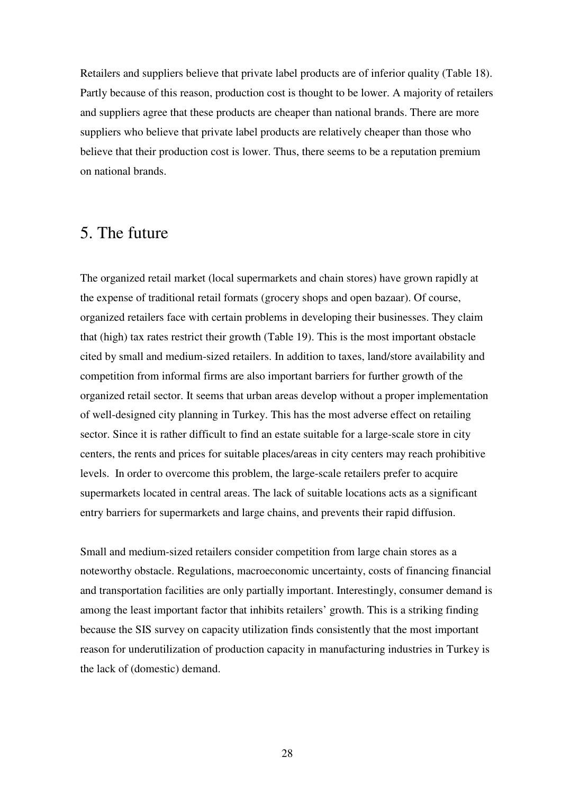Retailers and suppliers believe that private label products are of inferior quality (Table 18). Partly because of this reason, production cost is thought to be lower. A majority of retailers and suppliers agree that these products are cheaper than national brands. There are more suppliers who believe that private label products are relatively cheaper than those who believe that their production cost is lower. Thus, there seems to be a reputation premium on national brands.

## 5. The future

The organized retail market (local supermarkets and chain stores) have grown rapidly at the expense of traditional retail formats (grocery shops and open bazaar). Of course, organized retailers face with certain problems in developing their businesses. They claim that (high) tax rates restrict their growth (Table 19). This is the most important obstacle cited by small and medium-sized retailers. In addition to taxes, land/store availability and competition from informal firms are also important barriers for further growth of the organized retail sector. It seems that urban areas develop without a proper implementation of well-designed city planning in Turkey. This has the most adverse effect on retailing sector. Since it is rather difficult to find an estate suitable for a large-scale store in city centers, the rents and prices for suitable places/areas in city centers may reach prohibitive levels. In order to overcome this problem, the large-scale retailers prefer to acquire supermarkets located in central areas. The lack of suitable locations acts as a significant entry barriers for supermarkets and large chains, and prevents their rapid diffusion.

Small and medium-sized retailers consider competition from large chain stores as a noteworthy obstacle. Regulations, macroeconomic uncertainty, costs of financing financial and transportation facilities are only partially important. Interestingly, consumer demand is among the least important factor that inhibits retailers' growth. This is a striking finding because the SIS survey on capacity utilization finds consistently that the most important reason for underutilization of production capacity in manufacturing industries in Turkey is the lack of (domestic) demand.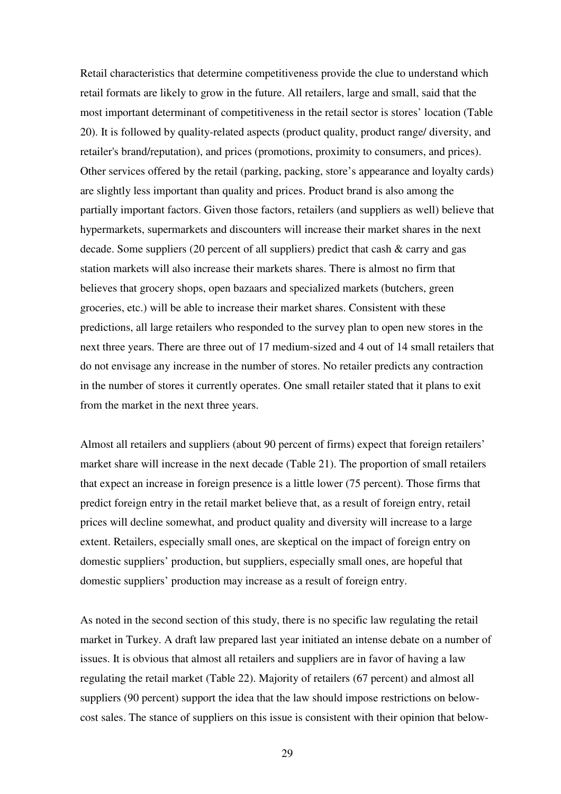Retail characteristics that determine competitiveness provide the clue to understand which retail formats are likely to grow in the future. All retailers, large and small, said that the most important determinant of competitiveness in the retail sector is stores' location (Table 20). It is followed by quality-related aspects (product quality, product range/ diversity, and retailer's brand/reputation), and prices (promotions, proximity to consumers, and prices). Other services offered by the retail (parking, packing, store's appearance and loyalty cards) are slightly less important than quality and prices. Product brand is also among the partially important factors. Given those factors, retailers (and suppliers as well) believe that hypermarkets, supermarkets and discounters will increase their market shares in the next decade. Some suppliers (20 percent of all suppliers) predict that cash & carry and gas station markets will also increase their markets shares. There is almost no firm that believes that grocery shops, open bazaars and specialized markets (butchers, green groceries, etc.) will be able to increase their market shares. Consistent with these predictions, all large retailers who responded to the survey plan to open new stores in the next three years. There are three out of 17 medium-sized and 4 out of 14 small retailers that do not envisage any increase in the number of stores. No retailer predicts any contraction in the number of stores it currently operates. One small retailer stated that it plans to exit from the market in the next three years.

Almost all retailers and suppliers (about 90 percent of firms) expect that foreign retailers' market share will increase in the next decade (Table 21). The proportion of small retailers that expect an increase in foreign presence is a little lower (75 percent). Those firms that predict foreign entry in the retail market believe that, as a result of foreign entry, retail prices will decline somewhat, and product quality and diversity will increase to a large extent. Retailers, especially small ones, are skeptical on the impact of foreign entry on domestic suppliers' production, but suppliers, especially small ones, are hopeful that domestic suppliers' production may increase as a result of foreign entry.

As noted in the second section of this study, there is no specific law regulating the retail market in Turkey. A draft law prepared last year initiated an intense debate on a number of issues. It is obvious that almost all retailers and suppliers are in favor of having a law regulating the retail market (Table 22). Majority of retailers (67 percent) and almost all suppliers (90 percent) support the idea that the law should impose restrictions on belowcost sales. The stance of suppliers on this issue is consistent with their opinion that below-

29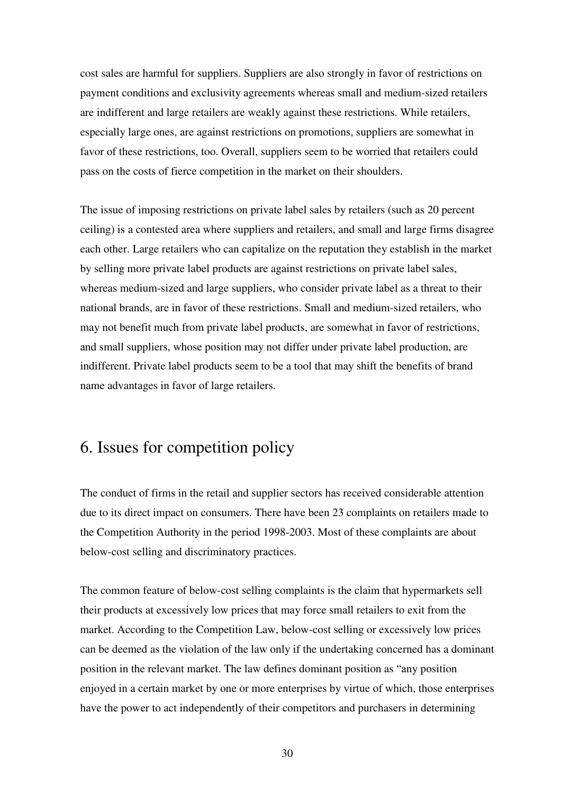cost sales are harmful for suppliers. Suppliers are also strongly in favor of restrictions on payment conditions and exclusivity agreements whereas small and medium-sized retailers are indifferent and large retailers are weakly against these restrictions. While retailers, especially large ones, are against restrictions on promotions, suppliers are somewhat in favor of these restrictions, too. Overall, suppliers seem to be worried that retailers could pass on the costs of fierce competition in the market on their shoulders.

The issue of imposing restrictions on private label sales by retailers (such as 20 percent ceiling) is a contested area where suppliers and retailers, and small and large firms disagree each other. Large retailers who can capitalize on the reputation they establish in the market by selling more private label products are against restrictions on private label sales, whereas medium-sized and large suppliers, who consider private label as a threat to their national brands, are in favor of these restrictions. Small and medium-sized retailers, who may not benefit much from private label products, are somewhat in favor of restrictions, and small suppliers, whose position may not differ under private label production, are indifferent. Private label products seem to be a tool that may shift the benefits of brand name advantages in favor of large retailers.

## 6. Issues for competition policy

The conduct of firms in the retail and supplier sectors has received considerable attention due to its direct impact on consumers. There have been 23 complaints on retailers made to the Competition Authority in the period 1998-2003. Most of these complaints are about below-cost selling and discriminatory practices.

The common feature of below-cost selling complaints is the claim that hypermarkets sell their products at excessively low prices that may force small retailers to exit from the market. According to the Competition Law, below-cost selling or excessively low prices can be deemed as the violation of the law only if the undertaking concerned has a dominant position in the relevant market. The law defines dominant position as "any position enjoyed in a certain market by one or more enterprises by virtue of which, those enterprises have the power to act independently of their competitors and purchasers in determining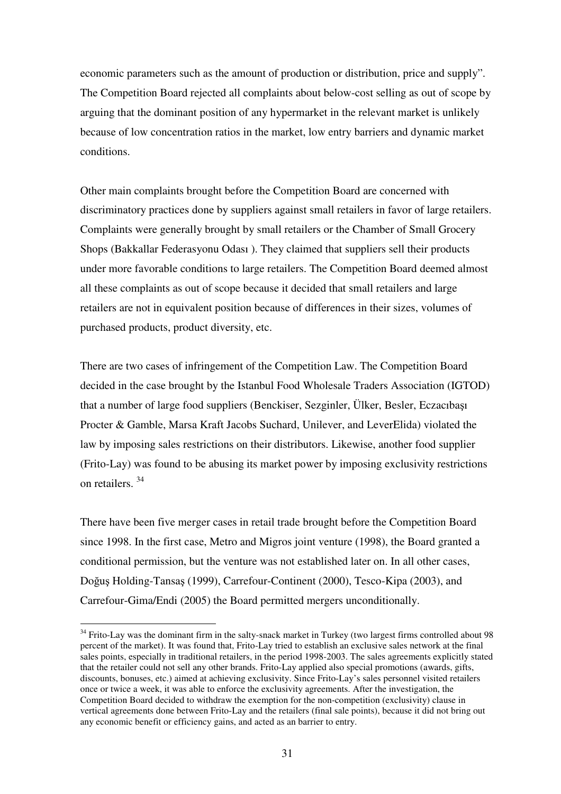economic parameters such as the amount of production or distribution, price and supply". The Competition Board rejected all complaints about below-cost selling as out of scope by arguing that the dominant position of any hypermarket in the relevant market is unlikely because of low concentration ratios in the market, low entry barriers and dynamic market conditions.

Other main complaints brought before the Competition Board are concerned with discriminatory practices done by suppliers against small retailers in favor of large retailers. Complaints were generally brought by small retailers or the Chamber of Small Grocery Shops (Bakkallar Federasyonu Odası ). They claimed that suppliers sell their products under more favorable conditions to large retailers. The Competition Board deemed almost all these complaints as out of scope because it decided that small retailers and large retailers are not in equivalent position because of differences in their sizes, volumes of purchased products, product diversity, etc.

There are two cases of infringement of the Competition Law. The Competition Board decided in the case brought by the Istanbul Food Wholesale Traders Association (IGTOD) that a number of large food suppliers (Benckiser, Sezginler, Ülker, Besler, Eczacıbaşı Procter & Gamble, Marsa Kraft Jacobs Suchard, Unilever, and LeverElida) violated the law by imposing sales restrictions on their distributors. Likewise, another food supplier (Frito-Lay) was found to be abusing its market power by imposing exclusivity restrictions on retailers. 34

There have been five merger cases in retail trade brought before the Competition Board since 1998. In the first case, Metro and Migros joint venture (1998), the Board granted a conditional permission, but the venture was not established later on. In all other cases, Doğuş Holding-Tansaş (1999), Carrefour-Continent (2000), Tesco-Kipa (2003), and Carrefour-Gima/Endi (2005) the Board permitted mergers unconditionally.

<sup>&</sup>lt;sup>34</sup> Frito-Lay was the dominant firm in the salty-snack market in Turkey (two largest firms controlled about 98 percent of the market). It was found that, Frito-Lay tried to establish an exclusive sales network at the final sales points, especially in traditional retailers, in the period 1998-2003. The sales agreements explicitly stated that the retailer could not sell any other brands. Frito-Lay applied also special promotions (awards, gifts, discounts, bonuses, etc.) aimed at achieving exclusivity. Since Frito-Lay's sales personnel visited retailers once or twice a week, it was able to enforce the exclusivity agreements. After the investigation, the Competition Board decided to withdraw the exemption for the non-competition (exclusivity) clause in vertical agreements done between Frito-Lay and the retailers (final sale points), because it did not bring out any economic benefit or efficiency gains, and acted as an barrier to entry.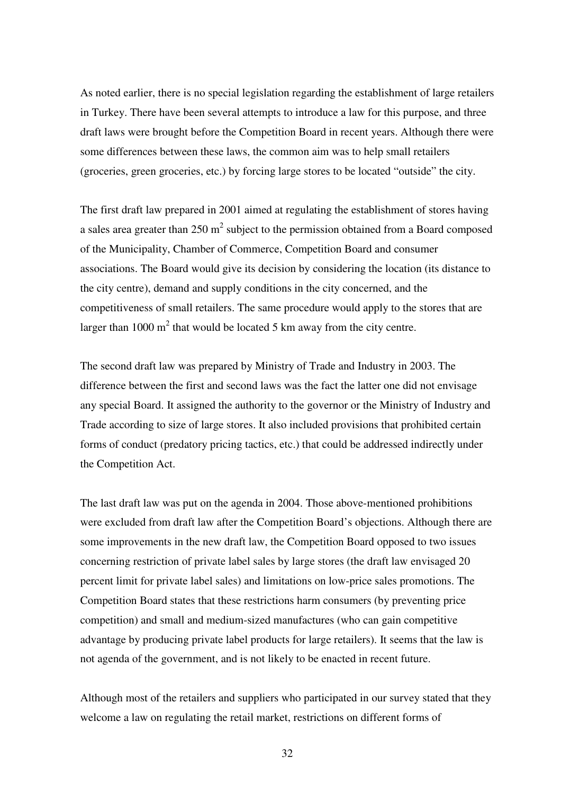As noted earlier, there is no special legislation regarding the establishment of large retailers in Turkey. There have been several attempts to introduce a law for this purpose, and three draft laws were brought before the Competition Board in recent years. Although there were some differences between these laws, the common aim was to help small retailers (groceries, green groceries, etc.) by forcing large stores to be located "outside" the city.

The first draft law prepared in 2001 aimed at regulating the establishment of stores having a sales area greater than 250  $m^2$  subject to the permission obtained from a Board composed of the Municipality, Chamber of Commerce, Competition Board and consumer associations. The Board would give its decision by considering the location (its distance to the city centre), demand and supply conditions in the city concerned, and the competitiveness of small retailers. The same procedure would apply to the stores that are larger than  $1000 \text{ m}^2$  that would be located 5 km away from the city centre.

The second draft law was prepared by Ministry of Trade and Industry in 2003. The difference between the first and second laws was the fact the latter one did not envisage any special Board. It assigned the authority to the governor or the Ministry of Industry and Trade according to size of large stores. It also included provisions that prohibited certain forms of conduct (predatory pricing tactics, etc.) that could be addressed indirectly under the Competition Act.

The last draft law was put on the agenda in 2004. Those above-mentioned prohibitions were excluded from draft law after the Competition Board's objections. Although there are some improvements in the new draft law, the Competition Board opposed to two issues concerning restriction of private label sales by large stores (the draft law envisaged 20 percent limit for private label sales) and limitations on low-price sales promotions. The Competition Board states that these restrictions harm consumers (by preventing price competition) and small and medium-sized manufactures (who can gain competitive advantage by producing private label products for large retailers). It seems that the law is not agenda of the government, and is not likely to be enacted in recent future.

Although most of the retailers and suppliers who participated in our survey stated that they welcome a law on regulating the retail market, restrictions on different forms of

32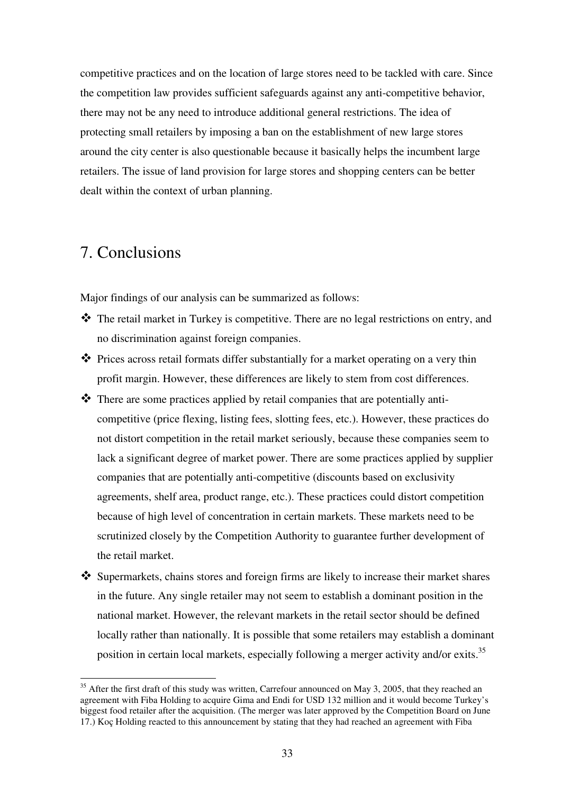competitive practices and on the location of large stores need to be tackled with care. Since the competition law provides sufficient safeguards against any anti-competitive behavior, there may not be any need to introduce additional general restrictions. The idea of protecting small retailers by imposing a ban on the establishment of new large stores around the city center is also questionable because it basically helps the incumbent large retailers. The issue of land provision for large stores and shopping centers can be better dealt within the context of urban planning.

## 7. Conclusions

Major findings of our analysis can be summarized as follows:

- \* The retail market in Turkey is competitive. There are no legal restrictions on entry, and no discrimination against foreign companies.
- ◆ Prices across retail formats differ substantially for a market operating on a very thin profit margin. However, these differences are likely to stem from cost differences.
- There are some practices applied by retail companies that are potentially anticompetitive (price flexing, listing fees, slotting fees, etc.). However, these practices do not distort competition in the retail market seriously, because these companies seem to lack a significant degree of market power. There are some practices applied by supplier companies that are potentially anti-competitive (discounts based on exclusivity agreements, shelf area, product range, etc.). These practices could distort competition because of high level of concentration in certain markets. These markets need to be scrutinized closely by the Competition Authority to guarantee further development of the retail market.
- \* Supermarkets, chains stores and foreign firms are likely to increase their market shares in the future. Any single retailer may not seem to establish a dominant position in the national market. However, the relevant markets in the retail sector should be defined locally rather than nationally. It is possible that some retailers may establish a dominant position in certain local markets, especially following a merger activity and/or exits.<sup>35</sup>

<sup>&</sup>lt;sup>35</sup> After the first draft of this study was written, Carrefour announced on May 3, 2005, that they reached an agreement with Fiba Holding to acquire Gima and Endi for USD 132 million and it would become Turkey's biggest food retailer after the acquisition. (The merger was later approved by the Competition Board on June 17.) Koç Holding reacted to this announcement by stating that they had reached an agreement with Fiba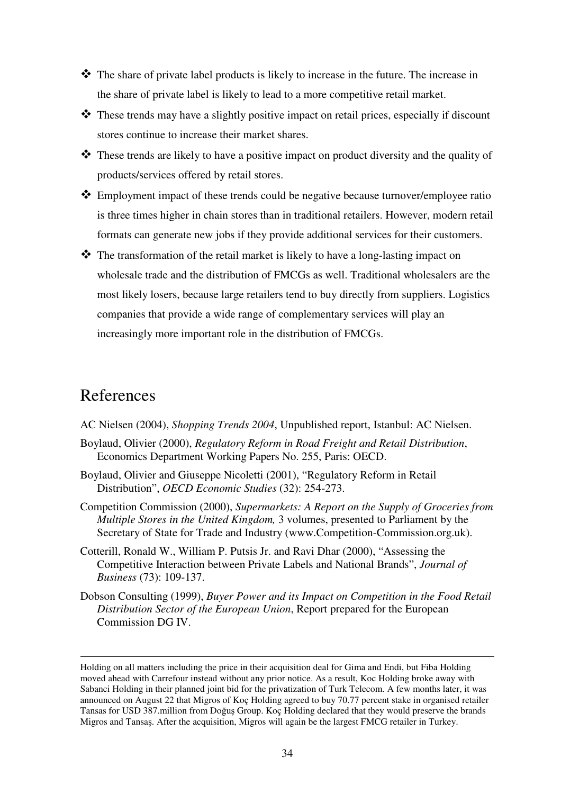- The share of private label products is likely to increase in the future. The increase in the share of private label is likely to lead to a more competitive retail market.
- \* These trends may have a slightly positive impact on retail prices, especially if discount stores continue to increase their market shares.
- $\hat{\mathbf{\cdot}}$  These trends are likely to have a positive impact on product diversity and the quality of products/services offered by retail stores.
- Employment impact of these trends could be negative because turnover/employee ratio is three times higher in chain stores than in traditional retailers. However, modern retail formats can generate new jobs if they provide additional services for their customers.
- The transformation of the retail market is likely to have a long-lasting impact on wholesale trade and the distribution of FMCGs as well. Traditional wholesalers are the most likely losers, because large retailers tend to buy directly from suppliers. Logistics companies that provide a wide range of complementary services will play an increasingly more important role in the distribution of FMCGs.

## References

- AC Nielsen (2004), *Shopping Trends 2004*, Unpublished report, Istanbul: AC Nielsen.
- Boylaud, Olivier (2000), *Regulatory Reform in Road Freight and Retail Distribution*, Economics Department Working Papers No. 255, Paris: OECD.
- Boylaud, Olivier and Giuseppe Nicoletti (2001), "Regulatory Reform in Retail Distribution", *OECD Economic Studies* (32): 254-273.
- Competition Commission (2000), *Supermarkets: A Report on the Supply of Groceries from Multiple Stores in the United Kingdom,* 3 volumes, presented to Parliament by the Secretary of State for Trade and Industry (www.Competition-Commission.org.uk).
- Cotterill, Ronald W., William P. Putsis Jr. and Ravi Dhar (2000), "Assessing the Competitive Interaction between Private Labels and National Brands", *Journal of Business* (73): 109-137.
- Dobson Consulting (1999), *Buyer Power and its Impact on Competition in the Food Retail Distribution Sector of the European Union*, Report prepared for the European Commission DG IV.

Holding on all matters including the price in their acquisition deal for Gima and Endi, but Fiba Holding moved ahead with Carrefour instead without any prior notice. As a result, Koc Holding broke away with Sabanci Holding in their planned joint bid for the privatization of Turk Telecom. A few months later, it was announced on August 22 that Migros of Koç Holding agreed to buy 70.77 percent stake in organised retailer Tansas for USD 387.million from Doğuş Group. Koç Holding declared that they would preserve the brands Migros and Tansa. After the acquisition, Migros will again be the largest FMCG retailer in Turkey.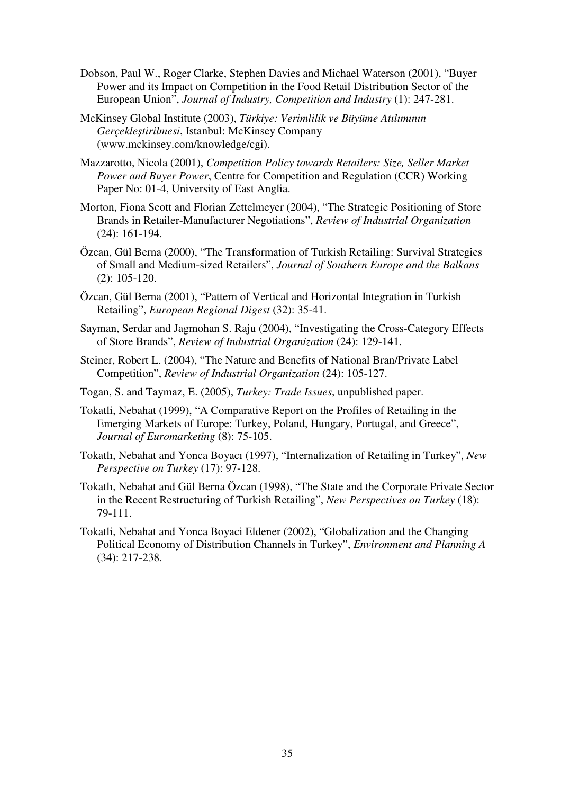- Dobson, Paul W., Roger Clarke, Stephen Davies and Michael Waterson (2001), "Buyer Power and its Impact on Competition in the Food Retail Distribution Sector of the European Union", *Journal of Industry, Competition and Industry* (1): 247-281.
- McKinsey Global Institute (2003), *Türkiye: Verimlilik ve Büyüme Atılımının* Gerçekleştirilmesi, Istanbul: McKinsey Company (www.mckinsey.com/knowledge/cgi).
- Mazzarotto, Nicola (2001), *Competition Policy towards Retailers: Size, Seller Market Power and Buyer Power*, Centre for Competition and Regulation (CCR) Working Paper No: 01-4, University of East Anglia.
- Morton, Fiona Scott and Florian Zettelmeyer (2004), "The Strategic Positioning of Store Brands in Retailer-Manufacturer Negotiations", *Review of Industrial Organization* (24): 161-194.
- Özcan, Gül Berna (2000), "The Transformation of Turkish Retailing: Survival Strategies of Small and Medium-sized Retailers", *Journal of Southern Europe and the Balkans* (2): 105-120.
- Özcan, Gül Berna (2001), "Pattern of Vertical and Horizontal Integration in Turkish Retailing", *European Regional Digest* (32): 35-41.
- Sayman, Serdar and Jagmohan S. Raju (2004), "Investigating the Cross-Category Effects of Store Brands", *Review of Industrial Organization* (24): 129-141.
- Steiner, Robert L. (2004), "The Nature and Benefits of National Bran/Private Label Competition", *Review of Industrial Organization* (24): 105-127.
- Togan, S. and Taymaz, E. (2005), *Turkey: Trade Issues*, unpublished paper.
- Tokatli, Nebahat (1999), "A Comparative Report on the Profiles of Retailing in the Emerging Markets of Europe: Turkey, Poland, Hungary, Portugal, and Greece", *Journal of Euromarketing* (8): 75-105.
- Tokatlı, Nebahat and Yonca Boyacı (1997), "Internalization of Retailing in Turkey", *New Perspective on Turkey* (17): 97-128.
- Tokatlı, Nebahat and Gül Berna Özcan (1998), "The State and the Corporate Private Sector in the Recent Restructuring of Turkish Retailing", *New Perspectives on Turkey* (18): 79-111.
- Tokatli, Nebahat and Yonca Boyaci Eldener (2002), "Globalization and the Changing Political Economy of Distribution Channels in Turkey", *Environment and Planning A* (34): 217-238.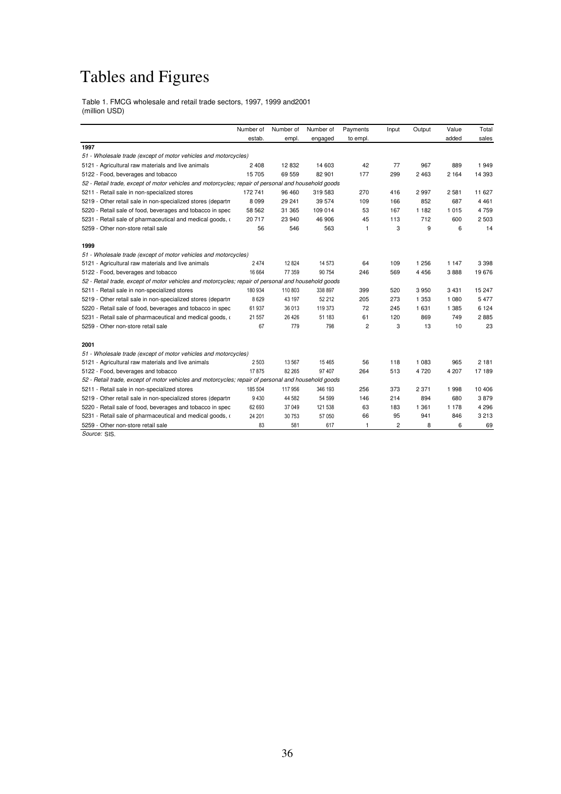## Tables and Figures

Table 1. FMCG wholesale and retail trade sectors, 1997, 1999 and2001 (million USD)

|                                                                                                     | Number of | Number of | Number of | Payments       | Input          | Output  | Value   | Total   |  |  |  |
|-----------------------------------------------------------------------------------------------------|-----------|-----------|-----------|----------------|----------------|---------|---------|---------|--|--|--|
|                                                                                                     | estab.    | empl.     | engaged   | to empl.       |                |         | added   | sales   |  |  |  |
| 1997                                                                                                |           |           |           |                |                |         |         |         |  |  |  |
| 51 - Wholesale trade (except of motor vehicles and motorcycles)                                     |           |           |           |                |                |         |         |         |  |  |  |
| 5121 - Agricultural raw materials and live animals                                                  | 2408      | 12 832    | 14 603    | 42             | 77             | 967     | 889     | 1949    |  |  |  |
| 5122 - Food, beverages and tobacco                                                                  | 15 705    | 69 559    | 82 901    | 177            | 299            | 2463    | 2 1 6 4 | 14 393  |  |  |  |
| 52 - Retail trade, except of motor vehicles and motorcycles; repair of personal and household goods |           |           |           |                |                |         |         |         |  |  |  |
| 5211 - Retail sale in non-specialized stores                                                        | 172 741   | 96 460    | 319 583   | 270            | 416            | 2997    | 2581    | 11 627  |  |  |  |
| 5219 - Other retail sale in non-specialized stores (departm                                         | 8 0 9 9   | 29 241    | 39 574    | 109            | 166            | 852     | 687     | 4 4 6 1 |  |  |  |
| 5220 - Retail sale of food, beverages and tobacco in spec                                           | 58 562    | 31 365    | 109 014   | 53             | 167            | 1 1 8 2 | 1015    | 4 7 5 9 |  |  |  |
| 5231 - Retail sale of pharmaceutical and medical goods, o                                           | 20 717    | 23 940    | 46 906    | 45             | 113            | 712     | 600     | 2 5 0 3 |  |  |  |
| 5259 - Other non-store retail sale                                                                  | 56        | 546       | 563       | $\mathbf{1}$   | 3              | 9       | 6       | 14      |  |  |  |
| 1999                                                                                                |           |           |           |                |                |         |         |         |  |  |  |
| 51 - Wholesale trade (except of motor vehicles and motorcycles)                                     |           |           |           |                |                |         |         |         |  |  |  |
| 5121 - Agricultural raw materials and live animals                                                  | 2474      | 12 8 24   | 14 573    | 64             | 109            | 1 2 5 6 | 1 1 4 7 | 3 3 9 8 |  |  |  |
| 5122 - Food, beverages and tobacco                                                                  | 16 664    | 77 359    | 90 754    | 246            | 569            | 4 4 5 6 | 3888    | 19676   |  |  |  |
| 52 - Retail trade, except of motor vehicles and motorcycles; repair of personal and household goods |           |           |           |                |                |         |         |         |  |  |  |
| 5211 - Retail sale in non-specialized stores                                                        | 180 934   | 110 803   | 338 897   | 399            | 520            | 3950    | 3 4 3 1 | 15 247  |  |  |  |
| 5219 - Other retail sale in non-specialized stores (departm                                         | 8629      | 43 197    | 52 212    | 205            | 273            | 1 3 5 3 | 1 0 8 0 | 5 4 7 7 |  |  |  |
| 5220 - Retail sale of food, beverages and tobacco in spec                                           | 61937     | 36 013    | 119 373   | 72             | 245            | 1 631   | 1 3 8 5 | 6 1 2 4 |  |  |  |
| 5231 - Retail sale of pharmaceutical and medical goods, o                                           | 21 557    | 26 4 26   | 51 183    | 61             | 120            | 869     | 749     | 2885    |  |  |  |
| 5259 - Other non-store retail sale                                                                  | 67        | 779       | 798       | $\overline{c}$ | 3              | 13      | 10      | 23      |  |  |  |
| 2001                                                                                                |           |           |           |                |                |         |         |         |  |  |  |
| 51 - Wholesale trade (except of motor vehicles and motorcycles)                                     |           |           |           |                |                |         |         |         |  |  |  |
| 5121 - Agricultural raw materials and live animals                                                  | 2503      | 13 567    | 15 4 65   | 56             | 118            | 1 0 8 3 | 965     | 2 181   |  |  |  |
| 5122 - Food, beverages and tobacco                                                                  | 17875     | 82 265    | 97 407    | 264            | 513            | 4720    | 4 207   | 17 189  |  |  |  |
| 52 - Retail trade, except of motor vehicles and motorcycles; repair of personal and household goods |           |           |           |                |                |         |         |         |  |  |  |
| 5211 - Retail sale in non-specialized stores                                                        | 185 504   | 117 956   | 346 193   | 256            | 373            | 2 3 7 1 | 1998    | 10 40 6 |  |  |  |
| 5219 - Other retail sale in non-specialized stores (departn                                         | 9430      | 44 582    | 54 599    | 146            | 214            | 894     | 680     | 3879    |  |  |  |
| 5220 - Retail sale of food, beverages and tobacco in spec                                           | 62 693    | 37 049    | 121 538   | 63             | 183            | 1 3 6 1 | 1 1 7 8 | 4 2 9 6 |  |  |  |
| 5231 - Retail sale of pharmaceutical and medical goods, o                                           | 24 201    | 30 753    | 57 050    | 66             | 95             | 941     | 846     | 3 2 1 3 |  |  |  |
| 5259 - Other non-store retail sale                                                                  | 83        | 581       | 617       | 1              | $\overline{c}$ | 8       | 6       | 69      |  |  |  |

*Source:* SIS.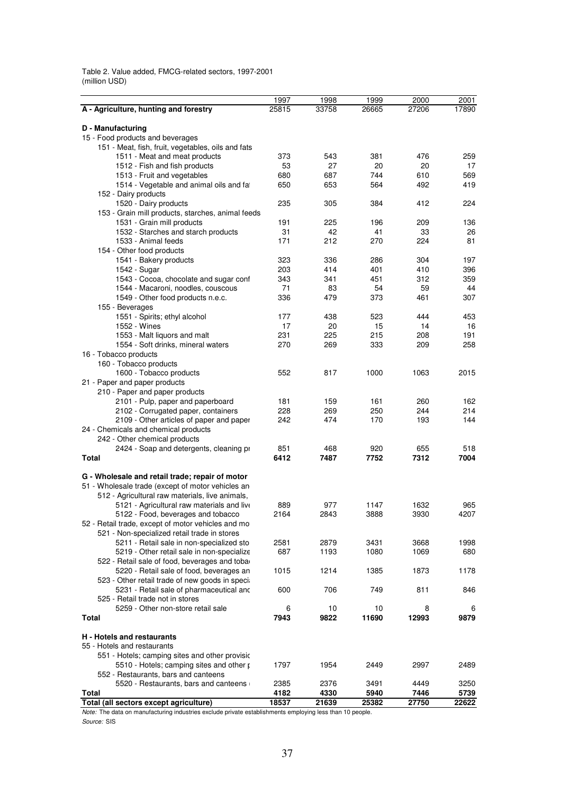Table 2. Value added, FMCG-related sectors, 1997-2001 (million USD)

|                                                                            | 1997  | 1998  | 1999  | 2000  | 2001  |
|----------------------------------------------------------------------------|-------|-------|-------|-------|-------|
| A - Agriculture, hunting and forestry                                      | 25815 | 33758 | 26665 | 27206 | 17890 |
|                                                                            |       |       |       |       |       |
| D - Manufacturing                                                          |       |       |       |       |       |
| 15 - Food products and beverages                                           |       |       |       |       |       |
| 151 - Meat, fish, fruit, vegetables, oils and fats                         |       |       |       |       |       |
| 1511 - Meat and meat products                                              | 373   | 543   | 381   | 476   | 259   |
| 1512 - Fish and fish products                                              | 53    | 27    | 20    | 20    | 17    |
| 1513 - Fruit and vegetables                                                | 680   | 687   | 744   | 610   | 569   |
| 1514 - Vegetable and animal oils and fat                                   | 650   | 653   | 564   | 492   | 419   |
| 152 - Dairy products                                                       |       |       |       |       |       |
| 1520 - Dairy products<br>153 - Grain mill products, starches, animal feeds | 235   | 305   | 384   | 412   | 224   |
| 1531 - Grain mill products                                                 | 191   | 225   | 196   | 209   | 136   |
| 1532 - Starches and starch products                                        | 31    | 42    | 41    | 33    | 26    |
| 1533 - Animal feeds                                                        | 171   | 212   | 270   | 224   | 81    |
| 154 - Other food products                                                  |       |       |       |       |       |
| 1541 - Bakery products                                                     | 323   | 336   | 286   | 304   | 197   |
| 1542 - Sugar                                                               | 203   | 414   | 401   | 410   | 396   |
| 1543 - Cocoa, chocolate and sugar conf                                     | 343   | 341   | 451   | 312   | 359   |
| 1544 - Macaroni, noodles, couscous                                         | 71    | 83    | 54    | 59    | 44    |
| 1549 - Other food products n.e.c.                                          | 336   | 479   | 373   | 461   | 307   |
| 155 - Beverages                                                            |       |       |       |       |       |
| 1551 - Spirits; ethyl alcohol                                              | 177   | 438   | 523   | 444   | 453   |
| 1552 - Wines                                                               | 17    | 20    | 15    | 14    | 16    |
| 1553 - Malt liquors and malt                                               | 231   | 225   | 215   | 208   | 191   |
| 1554 - Soft drinks, mineral waters                                         | 270   | 269   | 333   | 209   | 258   |
| 16 - Tobacco products                                                      |       |       |       |       |       |
| 160 - Tobacco products                                                     |       |       |       |       |       |
| 1600 - Tobacco products                                                    | 552   | 817   | 1000  | 1063  | 2015  |
| 21 - Paper and paper products                                              |       |       |       |       |       |
| 210 - Paper and paper products                                             |       |       |       |       |       |
| 2101 - Pulp, paper and paperboard                                          | 181   | 159   | 161   | 260   | 162   |
| 2102 - Corrugated paper, containers                                        | 228   | 269   | 250   | 244   | 214   |
| 2109 - Other articles of paper and paper                                   | 242   | 474   | 170   | 193   | 144   |
| 24 - Chemicals and chemical products                                       |       |       |       |       |       |
| 242 - Other chemical products                                              |       |       |       |       |       |
| 2424 - Soap and detergents, cleaning pr                                    | 851   | 468   | 920   | 655   | 518   |
| Total                                                                      | 6412  | 7487  | 7752  | 7312  | 7004  |
|                                                                            |       |       |       |       |       |
| G - Wholesale and retail trade; repair of motor                            |       |       |       |       |       |
| 51 - Wholesale trade (except of motor vehicles an                          |       |       |       |       |       |
| 512 - Agricultural raw materials, live animals,                            |       |       |       |       |       |
| 5121 - Agricultural raw materials and live                                 | 889   | 977   | 1147  | 1632  | 965   |
| 5122 - Food, beverages and tobacco                                         | 2164  | 2843  | 3888  | 3930  | 4207  |
| 52 - Retail trade, except of motor vehicles and mo                         |       |       |       |       |       |
| 521 - Non-specialized retail trade in stores                               |       |       |       |       |       |
| 5211 - Retail sale in non-specialized sto                                  | 2581  | 2879  | 3431  | 3668  | 1998  |
| 5219 - Other retail sale in non-specialize                                 | 687   | 1193  | 1080  | 1069  | 680   |
| 522 - Retail sale of food, beverages and tobar                             |       |       |       |       |       |
| 5220 - Retail sale of food, beverages an                                   | 1015  | 1214  | 1385  | 1873  | 1178  |
| 523 - Other retail trade of new goods in special                           |       |       |       |       |       |
| 5231 - Retail sale of pharmaceutical and                                   | 600   | 706   | 749   | 811   | 846   |
| 525 - Retail trade not in stores                                           |       |       |       |       |       |
| 5259 - Other non-store retail sale                                         | 6     | 10    | 10    | 8     | 6     |
| Total                                                                      | 7943  | 9822  | 11690 | 12993 | 9879  |
|                                                                            |       |       |       |       |       |
| H - Hotels and restaurants                                                 |       |       |       |       |       |
| 55 - Hotels and restaurants                                                |       |       |       |       |       |
| 551 - Hotels; camping sites and other provisic                             |       |       |       |       |       |
| 5510 - Hotels; camping sites and other p                                   | 1797  | 1954  | 2449  | 2997  | 2489  |
| 552 - Restaurants, bars and canteens                                       |       |       |       |       |       |
| 5520 - Restaurants, bars and canteens                                      | 2385  | 2376  | 3491  | 4449  | 3250  |
| <b>Total</b>                                                               | 4182  | 4330  | 5940  | 7446  | 5739  |
| Total (all sectors except agriculture)                                     | 18537 | 21639 | 25382 | 27750 | 22622 |

*Note:* The data on manufacturing industries exclude private establishments employing less than 10 people.

*Source:* SIS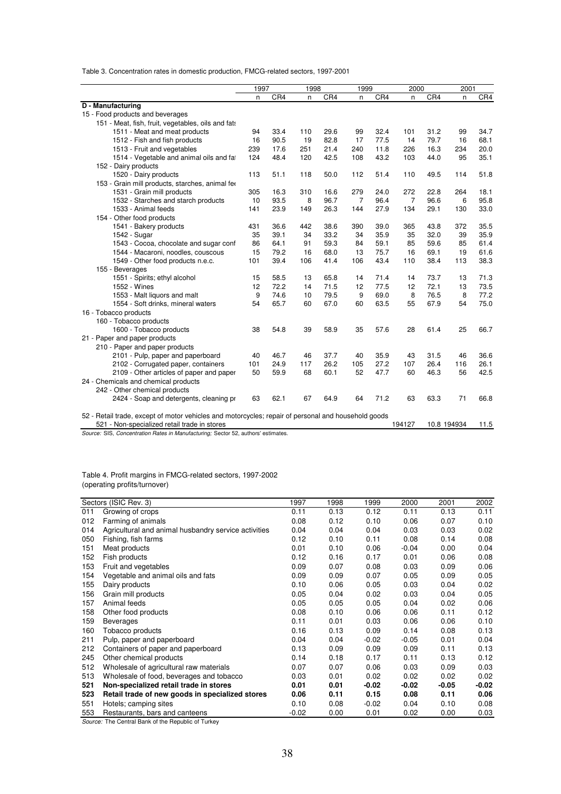Table 3. Concentration rates in domestic production, FMCG-related sectors, 1997-2001

|                                                                                                                                                                                                                                                                                                                                                                                                 | 1997                  |                              | 1998                  |                              |                       | 1999                         |                                 | 2000                         |                                      | 2001                                 |  |
|-------------------------------------------------------------------------------------------------------------------------------------------------------------------------------------------------------------------------------------------------------------------------------------------------------------------------------------------------------------------------------------------------|-----------------------|------------------------------|-----------------------|------------------------------|-----------------------|------------------------------|---------------------------------|------------------------------|--------------------------------------|--------------------------------------|--|
|                                                                                                                                                                                                                                                                                                                                                                                                 | n                     | CR4                          | n                     | CR4                          | n                     | CR4                          | n                               | CR4                          | n                                    | CR4                                  |  |
| D - Manufacturing                                                                                                                                                                                                                                                                                                                                                                               |                       |                              |                       |                              |                       |                              |                                 |                              |                                      |                                      |  |
| 15 - Food products and beverages                                                                                                                                                                                                                                                                                                                                                                |                       |                              |                       |                              |                       |                              |                                 |                              |                                      |                                      |  |
| 151 - Meat, fish, fruit, vegetables, oils and fats                                                                                                                                                                                                                                                                                                                                              |                       |                              |                       |                              |                       |                              |                                 |                              |                                      |                                      |  |
| 1511 - Meat and meat products                                                                                                                                                                                                                                                                                                                                                                   | 94                    | 33.4                         | 110                   | 29.6                         | 99                    | 32.4                         | 101                             | 31.2                         | 99                                   | 34.7                                 |  |
| 1512 - Fish and fish products                                                                                                                                                                                                                                                                                                                                                                   | 16                    | 90.5                         | 19                    | 82.8                         | 17                    | 77.5                         | 14                              | 79.7                         | 16                                   | 68.1                                 |  |
| 1513 - Fruit and vegetables                                                                                                                                                                                                                                                                                                                                                                     | 239                   | 17.6                         | 251                   | 21.4                         | 240                   | 11.8                         | 226                             | 16.3                         | 234                                  | 20.0                                 |  |
| 1514 - Vegetable and animal oils and fat                                                                                                                                                                                                                                                                                                                                                        | 124                   | 48.4                         | 120                   | 42.5                         | 108                   | 43.2                         | 103                             | 44.0                         | 95                                   | 35.1                                 |  |
| 152 - Dairy products                                                                                                                                                                                                                                                                                                                                                                            |                       |                              |                       |                              |                       |                              |                                 |                              |                                      |                                      |  |
| 1520 - Dairy products                                                                                                                                                                                                                                                                                                                                                                           | 113                   | 51.1                         | 118                   | 50.0                         | 112                   | 51.4                         | 110                             | 49.5                         | 114                                  | 51.8                                 |  |
| 153 - Grain mill products, starches, animal fer                                                                                                                                                                                                                                                                                                                                                 |                       |                              |                       |                              |                       |                              |                                 |                              |                                      |                                      |  |
| 1531 - Grain mill products                                                                                                                                                                                                                                                                                                                                                                      | 305                   | 16.3                         | 310                   | 16.6                         | 279                   | 24.0                         | 272                             | 22.8                         | 264                                  | 18.1                                 |  |
| 1532 - Starches and starch products                                                                                                                                                                                                                                                                                                                                                             | 10                    | 93.5                         | 8                     | 96.7                         | 7                     | 96.4                         | $\overline{7}$                  | 96.6                         | 6                                    | 95.8                                 |  |
| 1533 - Animal feeds                                                                                                                                                                                                                                                                                                                                                                             | 141                   | 23.9                         | 149                   | 26.3                         | 144                   | 27.9                         | 134                             | 29.1                         | 130                                  | 33.0                                 |  |
| 154 - Other food products                                                                                                                                                                                                                                                                                                                                                                       |                       |                              |                       |                              |                       |                              |                                 |                              |                                      |                                      |  |
| 1541 - Bakery products                                                                                                                                                                                                                                                                                                                                                                          | 431                   | 36.6                         | 442                   | 38.6                         | 390                   | 39.0                         | 365                             | 43.8                         | 372                                  | 35.5                                 |  |
| 1542 - Sugar                                                                                                                                                                                                                                                                                                                                                                                    | 35                    | 39.1                         | 34                    | 33.2                         | 34                    | 35.9                         | 35                              | 32.0                         | 39                                   | 35.9                                 |  |
| 1543 - Cocoa, chocolate and sugar conf                                                                                                                                                                                                                                                                                                                                                          | 86                    | 64.1                         | 91                    | 59.3                         | 84                    | 59.1                         | 85                              | 59.6                         | 85                                   | 61.4                                 |  |
| 1544 - Macaroni, noodles, couscous                                                                                                                                                                                                                                                                                                                                                              | 15                    | 79.2                         | 16                    | 68.0                         | 13                    | 75.7                         | 16                              | 69.1                         | 19                                   | 61.6                                 |  |
| 1549 - Other food products n.e.c.                                                                                                                                                                                                                                                                                                                                                               | 101                   | 39.4                         | 106                   | 41.4                         | 106                   | 43.4                         | 110                             | 38.4                         | 113                                  | 38.3                                 |  |
| 155 - Beverages                                                                                                                                                                                                                                                                                                                                                                                 |                       |                              |                       |                              |                       |                              |                                 |                              |                                      |                                      |  |
| 1551 - Spirits; ethyl alcohol                                                                                                                                                                                                                                                                                                                                                                   | 15                    | 58.5                         | 13                    | 65.8                         | 14                    | 71.4                         | 14                              | 73.7                         | 13                                   | 71.3                                 |  |
| 1552 - Wines                                                                                                                                                                                                                                                                                                                                                                                    | 12                    | 72.2                         | 14                    | 71.5                         | 12                    | 77.5                         | 12                              | 72.1                         | 13                                   | 73.5                                 |  |
| 1553 - Malt liquors and malt                                                                                                                                                                                                                                                                                                                                                                    | 9                     | 74.6                         | 10                    | 79.5                         | 9                     | 69.0                         | 8                               | 76.5                         | 8                                    | 77.2                                 |  |
| 1554 - Soft drinks, mineral waters                                                                                                                                                                                                                                                                                                                                                              | 54                    | 65.7                         | 60                    | 67.0                         | 60                    | 63.5                         | 55                              | 67.9                         | 54                                   | 75.0                                 |  |
| 16 - Tobacco products                                                                                                                                                                                                                                                                                                                                                                           |                       |                              |                       |                              |                       |                              |                                 |                              |                                      |                                      |  |
| 160 - Tobacco products                                                                                                                                                                                                                                                                                                                                                                          |                       |                              |                       |                              |                       |                              |                                 |                              |                                      |                                      |  |
| 1600 - Tobacco products                                                                                                                                                                                                                                                                                                                                                                         | 38                    | 54.8                         | 39                    | 58.9                         | 35                    | 57.6                         | 28                              | 61.4                         | 25                                   | 66.7                                 |  |
| 21 - Paper and paper products                                                                                                                                                                                                                                                                                                                                                                   |                       |                              |                       |                              |                       |                              |                                 |                              |                                      |                                      |  |
| 210 - Paper and paper products                                                                                                                                                                                                                                                                                                                                                                  |                       |                              |                       |                              |                       |                              |                                 |                              |                                      |                                      |  |
|                                                                                                                                                                                                                                                                                                                                                                                                 |                       |                              |                       |                              |                       |                              |                                 |                              |                                      |                                      |  |
|                                                                                                                                                                                                                                                                                                                                                                                                 |                       |                              |                       |                              |                       |                              |                                 |                              |                                      |                                      |  |
|                                                                                                                                                                                                                                                                                                                                                                                                 |                       |                              |                       |                              |                       |                              |                                 |                              |                                      |                                      |  |
|                                                                                                                                                                                                                                                                                                                                                                                                 |                       |                              |                       |                              |                       |                              |                                 |                              |                                      |                                      |  |
|                                                                                                                                                                                                                                                                                                                                                                                                 |                       |                              |                       |                              |                       |                              |                                 |                              |                                      |                                      |  |
|                                                                                                                                                                                                                                                                                                                                                                                                 |                       |                              |                       |                              |                       |                              |                                 |                              |                                      |                                      |  |
|                                                                                                                                                                                                                                                                                                                                                                                                 |                       |                              |                       |                              |                       |                              |                                 |                              |                                      |                                      |  |
|                                                                                                                                                                                                                                                                                                                                                                                                 |                       |                              |                       |                              |                       |                              |                                 |                              |                                      |                                      |  |
|                                                                                                                                                                                                                                                                                                                                                                                                 |                       |                              |                       |                              |                       |                              |                                 |                              |                                      |                                      |  |
| 2101 - Pulp, paper and paperboard<br>2102 - Corrugated paper, containers<br>2109 - Other articles of paper and paper<br>24 - Chemicals and chemical products<br>242 - Other chemical products<br>2424 - Soap and detergents, cleaning pr<br>52 - Retail trade, except of motor vehicles and motorcycles; repair of personal and household goods<br>521 - Non-specialized retail trade in stores | 40<br>101<br>50<br>63 | 46.7<br>24.9<br>59.9<br>62.1 | 46<br>117<br>68<br>67 | 37.7<br>26.2<br>60.1<br>64.9 | 40<br>105<br>52<br>64 | 35.9<br>27.2<br>47.7<br>71.2 | 43<br>107<br>60<br>63<br>194127 | 31.5<br>26.4<br>46.3<br>63.3 | 46<br>116<br>56<br>71<br>10.8 194934 | 36.6<br>26.1<br>42.5<br>66.8<br>11.5 |  |

*Source:* SIS, *Concentration Rates in Manufacturing;* Sector 52, authors' estimates.

### Table 4. Profit margins in FMCG-related sectors, 1997-2002 (operating profits/turnover)

|     | Sectors (ISIC Rev. 3)                                | 1997    | 1998 | 1999    | 2000    | 2001    | 2002  |
|-----|------------------------------------------------------|---------|------|---------|---------|---------|-------|
| 011 | Growing of crops                                     | 0.11    | 0.13 | 0.12    | 0.11    | 0.13    | 0.11  |
| 012 | Farming of animals                                   | 0.08    | 0.12 | 0.10    | 0.06    | 0.07    | 0.10  |
| 014 | Agricultural and animal husbandry service activities | 0.04    | 0.04 | 0.04    | 0.03    | 0.03    | 0.02  |
| 050 | Fishing, fish farms                                  | 0.12    | 0.10 | 0.11    | 0.08    | 0.14    | 0.08  |
| 151 | Meat products                                        | 0.01    | 0.10 | 0.06    | $-0.04$ | 0.00    | 0.04  |
| 152 | Fish products                                        | 0.12    | 0.16 | 0.17    | 0.01    | 0.06    | 0.08  |
| 153 | Fruit and vegetables                                 | 0.09    | 0.07 | 0.08    | 0.03    | 0.09    | 0.06  |
| 154 | Vegetable and animal oils and fats                   | 0.09    | 0.09 | 0.07    | 0.05    | 0.09    | 0.05  |
| 155 | Dairy products                                       | 0.10    | 0.06 | 0.05    | 0.03    | 0.04    | 0.02  |
| 156 | Grain mill products                                  | 0.05    | 0.04 | 0.02    | 0.03    | 0.04    | 0.05  |
| 157 | Animal feeds                                         | 0.05    | 0.05 | 0.05    | 0.04    | 0.02    | 0.06  |
| 158 | Other food products                                  | 0.08    | 0.10 | 0.06    | 0.06    | 0.11    | 0.12  |
| 159 | <b>Beverages</b>                                     | 0.11    | 0.01 | 0.03    | 0.06    | 0.06    | 0.10  |
| 160 | Tobacco products                                     | 0.16    | 0.13 | 0.09    | 0.14    | 0.08    | 0.13  |
| 211 | Pulp, paper and paperboard                           | 0.04    | 0.04 | $-0.02$ | $-0.05$ | 0.01    | 0.04  |
| 212 | Containers of paper and paperboard                   | 0.13    | 0.09 | 0.09    | 0.09    | 0.11    | 0.13  |
| 245 | Other chemical products                              | 0.14    | 0.18 | 0.17    | 0.11    | 0.13    | 0.12  |
| 512 | Wholesale of agricultural raw materials              | 0.07    | 0.07 | 0.06    | 0.03    | 0.09    | 0.03  |
| 513 | Wholesale of food, beverages and tobacco             | 0.03    | 0.01 | 0.02    | 0.02    | 0.02    | 0.02  |
| 521 | Non-specialized retail trade in stores               | 0.01    | 0.01 | $-0.02$ | $-0.02$ | $-0.05$ | -0.02 |
| 523 | Retail trade of new goods in specialized stores      | 0.06    | 0.11 | 0.15    | 0.08    | 0.11    | 0.06  |
| 551 | Hotels; camping sites                                | 0.10    | 0.08 | $-0.02$ | 0.04    | 0.10    | 0.08  |
| 553 | Restaurants, bars and canteens                       | $-0.02$ | 0.00 | 0.01    | 0.02    | 0.00    | 0.03  |

*Source:* The Central Bank of the Republic of Turkey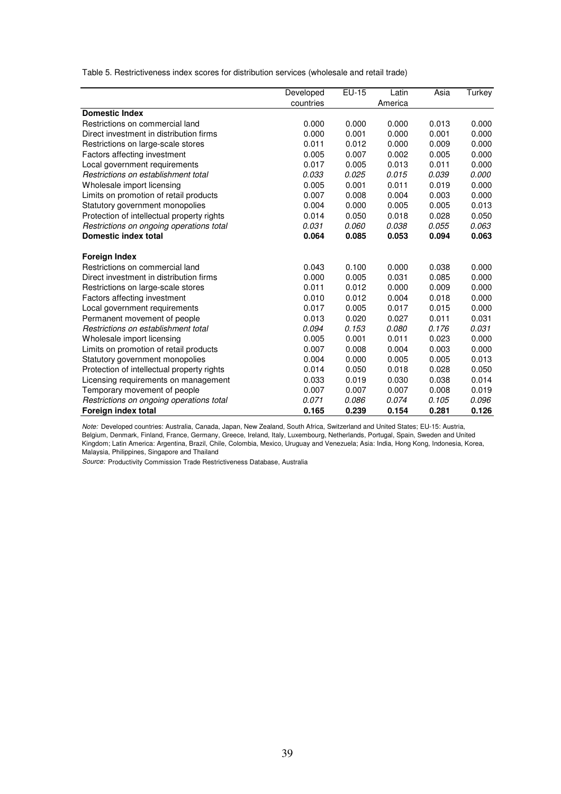Table 5. Restrictiveness index scores for distribution services (wholesale and retail trade)

|                                            | Developed | EU-15 | Latin   | Asia  | Turkey |
|--------------------------------------------|-----------|-------|---------|-------|--------|
|                                            | countries |       | America |       |        |
| <b>Domestic Index</b>                      |           |       |         |       |        |
| Restrictions on commercial land            | 0.000     | 0.000 | 0.000   | 0.013 | 0.000  |
| Direct investment in distribution firms    | 0.000     | 0.001 | 0.000   | 0.001 | 0.000  |
| Restrictions on large-scale stores         | 0.011     | 0.012 | 0.000   | 0.009 | 0.000  |
| Factors affecting investment               | 0.005     | 0.007 | 0.002   | 0.005 | 0.000  |
| Local government requirements              | 0.017     | 0.005 | 0.013   | 0.011 | 0.000  |
| Restrictions on establishment total        | 0.033     | 0.025 | 0.015   | 0.039 | 0.000  |
| Wholesale import licensing                 | 0.005     | 0.001 | 0.011   | 0.019 | 0.000  |
| Limits on promotion of retail products     | 0.007     | 0.008 | 0.004   | 0.003 | 0.000  |
| Statutory government monopolies            | 0.004     | 0.000 | 0.005   | 0.005 | 0.013  |
| Protection of intellectual property rights | 0.014     | 0.050 | 0.018   | 0.028 | 0.050  |
| Restrictions on ongoing operations total   | 0.031     | 0.060 | 0.038   | 0.055 | 0.063  |
| Domestic index total                       | 0.064     | 0.085 | 0.053   | 0.094 | 0.063  |
| <b>Foreign Index</b>                       |           |       |         |       |        |
| Restrictions on commercial land            | 0.043     | 0.100 | 0.000   | 0.038 | 0.000  |
| Direct investment in distribution firms    | 0.000     | 0.005 | 0.031   | 0.085 | 0.000  |
| Restrictions on large-scale stores         | 0.011     | 0.012 | 0.000   | 0.009 | 0.000  |
| Factors affecting investment               | 0.010     | 0.012 | 0.004   | 0.018 | 0.000  |
| Local government requirements              | 0.017     | 0.005 | 0.017   | 0.015 | 0.000  |
| Permanent movement of people               | 0.013     | 0.020 | 0.027   | 0.011 | 0.031  |
| Restrictions on establishment total        | 0.094     | 0.153 | 0.080   | 0.176 | 0.031  |
| Wholesale import licensing                 | 0.005     | 0.001 | 0.011   | 0.023 | 0.000  |
| Limits on promotion of retail products     | 0.007     | 0.008 | 0.004   | 0.003 | 0.000  |
| Statutory government monopolies            | 0.004     | 0.000 | 0.005   | 0.005 | 0.013  |
| Protection of intellectual property rights | 0.014     | 0.050 | 0.018   | 0.028 | 0.050  |
| Licensing requirements on management       | 0.033     | 0.019 | 0.030   | 0.038 | 0.014  |
| Temporary movement of people               | 0.007     | 0.007 | 0.007   | 0.008 | 0.019  |
| Restrictions on ongoing operations total   | 0.071     | 0.086 | 0.074   | 0.105 | 0.096  |
| Foreign index total                        | 0.165     | 0.239 | 0.154   | 0.281 | 0.126  |

*Note:* Developed countries: Australia, Canada, Japan, New Zealand, South Africa, Switzerland and United States; EU-15: Austria, Belgium, Denmark, Finland, France, Germany, Greece, Ireland, Italy, Luxembourg, Netherlands, Portugal, Spain, Sweden and United Kingdom; Latin America: Argentina, Brazil, Chile, Colombia, Mexico, Uruguay and Venezuela; Asia: India, Hong Kong, Indonesia, Korea, Malaysia, Philippines, Singapore and Thailand

*Source:* Productivity Commission Trade Restrictiveness Database, Australia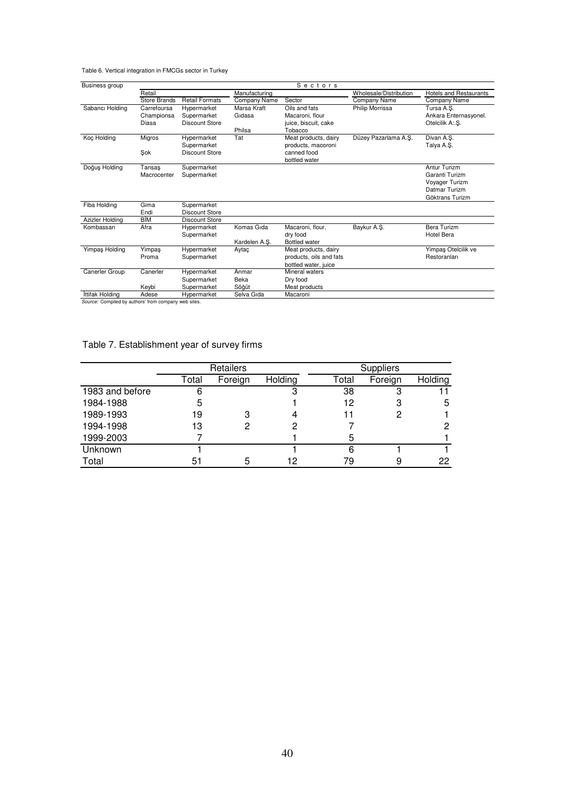Table 6. Vertical integration in FMCGs sector in Turkey

| Business group  | Sectors      |                       |               |                         |                        |                               |  |  |  |
|-----------------|--------------|-----------------------|---------------|-------------------------|------------------------|-------------------------------|--|--|--|
|                 | Retail       |                       | Manufacturing |                         | Wholesale/Distribution | <b>Hotels and Restaurants</b> |  |  |  |
|                 | Store Brands | <b>Retail Formats</b> | Company Name  | Sector                  | Company Name           | Company Name                  |  |  |  |
| Sabancı Holding | Carrefoursa  | Hypermarket           | Marsa Kraft   | Oils and fats           | <b>Philip Morrissa</b> | Tursa A.S.                    |  |  |  |
|                 | Championsa   | Supermarket           | Gidasa        | Macaroni, flour         |                        | Ankara Enternasyonel.         |  |  |  |
|                 | Diasa        | <b>Discount Store</b> |               | juice, biscuit, cake    |                        | Otelcilik A:.S.               |  |  |  |
|                 |              |                       | Philsa        | Tobacco                 |                        |                               |  |  |  |
| Koç Holding     | Migros       | Hypermarket           | Tat           | Meat products, dairy    | Düzey Pazarlama A.Ş.   | Divan A.S.                    |  |  |  |
|                 |              | Supermarket           |               | products, macoroni      |                        | Talya A.Ş.                    |  |  |  |
|                 | Şok          | <b>Discount Store</b> |               | canned food             |                        |                               |  |  |  |
|                 |              |                       |               | bottled water           |                        |                               |  |  |  |
| Doğuş Holding   | Tansas       | Supermarket           |               |                         |                        | <b>Antur Turizm</b>           |  |  |  |
|                 | Macrocenter  | Supermarket           |               |                         |                        | Garanti Turizm                |  |  |  |
|                 |              |                       |               |                         |                        | Voyager Turizm                |  |  |  |
|                 |              |                       |               |                         |                        | Datmar Turizm                 |  |  |  |
|                 |              |                       |               |                         |                        | Göktrans Turizm               |  |  |  |
| Fiba Holding    | Gima         | Supermarket           |               |                         |                        |                               |  |  |  |
|                 | Endi         | <b>Discount Store</b> |               |                         |                        |                               |  |  |  |
| Azizler Holding | BİM          | <b>Discount Store</b> |               |                         |                        |                               |  |  |  |
| Kombassan       | Afra         | Hypermarket           | Komas Gida    | Macaroni, flour,        | Baykur A.Ş.            | <b>Bera Turizm</b>            |  |  |  |
|                 |              | Supermarket           |               | dry food                |                        | <b>Hotel Bera</b>             |  |  |  |
|                 |              |                       | Kardelen A.Ş. | <b>Bottled</b> water    |                        |                               |  |  |  |
| Yimpaş Holding  | Yimpaş       | Hypermarket           | Aytaç         | Meat products, dairy    |                        | Yimpaş Otelcilik ve           |  |  |  |
|                 | Proma        | Supermarket           |               | products, oils and fats |                        | Restoranları                  |  |  |  |
|                 |              |                       |               | bottled water, juice    |                        |                               |  |  |  |
| Canerler Group  | Canerler     | Hypermarket           | Anmar         | Mineral waters          |                        |                               |  |  |  |
|                 |              | Supermarket           | Beka          | Dry food                |                        |                               |  |  |  |
|                 | Keybi        | Supermarket           | Söğüt         | Meat products           |                        |                               |  |  |  |
| İttifak Holding | Adese        | Hypermarket           | Selva Gıda    | Macaroni                |                        |                               |  |  |  |

**Source:** Compiled by authors' from company web sites.

### Table 7. Establishment year of survey firms

|                 |       | Retailers |         | <b>Suppliers</b> |         |         |  |
|-----------------|-------|-----------|---------|------------------|---------|---------|--|
|                 | Total | Foreign   | Holding | Total            | Foreign | Holding |  |
| 1983 and before | 6     |           |         | 38               | د،      |         |  |
| 1984-1988       | 5     |           |         | 12               | 3       | 5       |  |
| 1989-1993       | 19    | З         |         |                  | 2       |         |  |
| 1994-1998       | 13    |           |         |                  |         | 2       |  |
| 1999-2003       |       |           |         | 5                |         |         |  |
| Unknown         |       |           |         | 6                |         |         |  |
| Total           | 51    | 5         | 12      | 79               |         | 22      |  |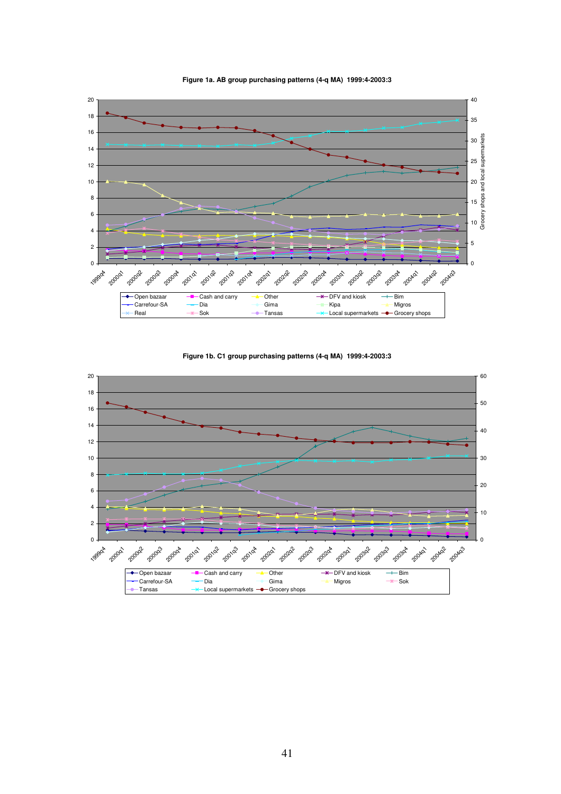

**Figure 1a. AB group purchasing patterns (4-q MA) 1999:4-2003:3**

**Figure 1b. C1 group purchasing patterns (4-q MA) 1999:4-2003:3**

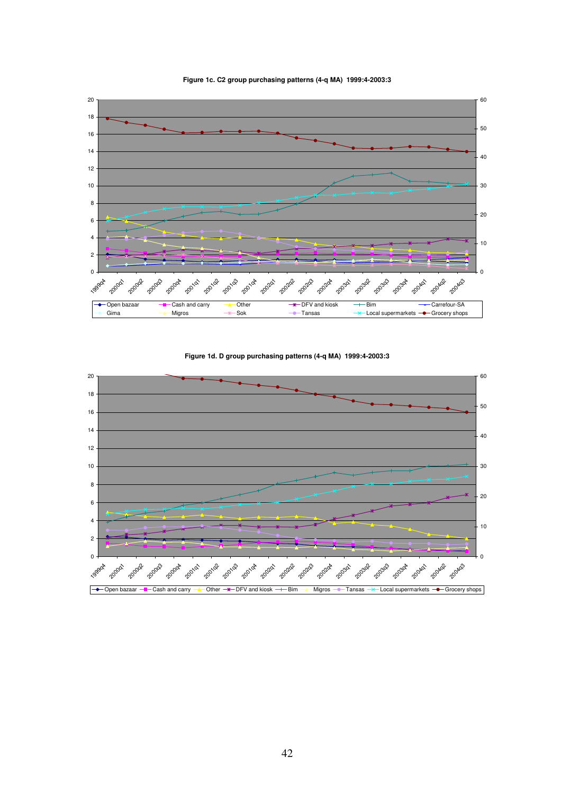

**Figure 1c. C2 group purchasing patterns (4-q MA) 1999:4-2003:3**

**Figure 1d. D group purchasing patterns (4-q MA) 1999:4-2003:3**

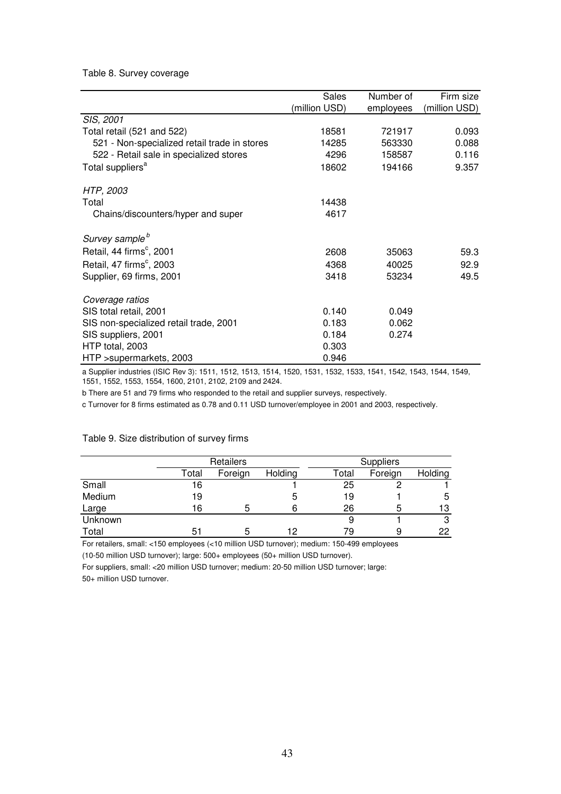### Table 8. Survey coverage

|                                              | Sales         | Number of | Firm size     |
|----------------------------------------------|---------------|-----------|---------------|
|                                              | (million USD) | employees | (million USD) |
| SIS, 2001                                    |               |           |               |
| Total retail (521 and 522)                   | 18581         | 721917    | 0.093         |
| 521 - Non-specialized retail trade in stores | 14285         | 563330    | 0.088         |
| 522 - Retail sale in specialized stores      | 4296          | 158587    | 0.116         |
| Total suppliers <sup>a</sup>                 | 18602         | 194166    | 9.357         |
| HTP, 2003                                    |               |           |               |
| Total                                        | 14438         |           |               |
| Chains/discounters/hyper and super           | 4617          |           |               |
| Survey sample <sup>b</sup>                   |               |           |               |
| Retail, 44 firms <sup>c</sup> , 2001         | 2608          | 35063     | 59.3          |
| Retail, 47 firms <sup>c</sup> , 2003         | 4368          | 40025     | 92.9          |
| Supplier, 69 firms, 2001                     | 3418          | 53234     | 49.5          |
| Coverage ratios                              |               |           |               |
| SIS total retail, 2001                       | 0.140         | 0.049     |               |
| SIS non-specialized retail trade, 2001       | 0.183         | 0.062     |               |
| SIS suppliers, 2001                          | 0.184         | 0.274     |               |
| HTP total, 2003                              | 0.303         |           |               |
| HTP >supermarkets, 2003                      | 0.946         |           |               |

a Supplier industries (ISIC Rev 3): 1511, 1512, 1513, 1514, 1520, 1531, 1532, 1533, 1541, 1542, 1543, 1544, 1549, 1551, 1552, 1553, 1554, 1600, 2101, 2102, 2109 and 2424.

b There are 51 and 79 firms who responded to the retail and supplier surveys, respectively.

c Turnover for 8 firms estimated as 0.78 and 0.11 USD turnover/employee in 2001 and 2003, respectively.

|         |       | Retailers |         | <b>Suppliers</b> |         |         |  |
|---------|-------|-----------|---------|------------------|---------|---------|--|
|         | Total | Foreign   | Holding | Total            | Foreign | Holding |  |
| Small   | 16    |           |         | 25               |         |         |  |
| Medium  | 19    |           | Э       | 19               |         | 5       |  |
| Large   | 16    |           |         | 26               | 5       | 13      |  |
| Unknown |       |           |         |                  |         | 3       |  |
| Total   | 51    |           | 12      | 79               | 9       | 22      |  |

### Table 9. Size distribution of survey firms

For retailers, small: <150 employees (<10 million USD turnover); medium: 150-499 employees (10-50 million USD turnover); large: 500+ employees (50+ million USD turnover).

For suppliers, small: <20 million USD turnover; medium: 20-50 million USD turnover; large: 50+ million USD turnover.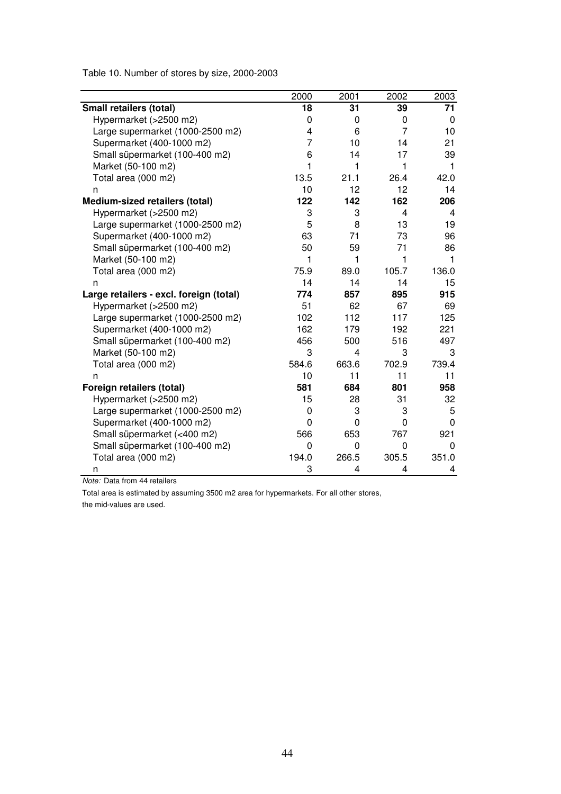Table 10. Number of stores by size, 2000-2003

|                                         | 2000  | 2001     | 2002                    | 2003  |
|-----------------------------------------|-------|----------|-------------------------|-------|
| Small retailers (total)                 | 18    | 31       | 39                      | 71    |
| Hypermarket (>2500 m2)                  | 0     | 0        | 0                       | 0     |
| Large supermarket (1000-2500 m2)        | 4     | 6        | 7                       | 10    |
| Supermarket (400-1000 m2)               | 7     | 10       | 14                      | 21    |
| Small süpermarket (100-400 m2)          | 6     | 14       | 17                      | 39    |
| Market (50-100 m2)                      | 1     | 1        | 1                       | 1     |
| Total area (000 m2)                     | 13.5  | 21.1     | 26.4                    | 42.0  |
| n                                       | 10    | 12       | 12                      | 14    |
| Medium-sized retailers (total)          | 122   | 142      | 162                     | 206   |
| Hypermarket (>2500 m2)                  | 3     | 3        | $\overline{\mathbf{4}}$ | 4     |
| Large supermarket (1000-2500 m2)        | 5     | 8        | 13                      | 19    |
| Supermarket (400-1000 m2)               | 63    | 71       | 73                      | 96    |
| Small süpermarket (100-400 m2)          | 50    | 59       | 71                      | 86    |
| Market (50-100 m2)                      | 1     | 1        | 1                       | 1     |
| Total area (000 m2)                     | 75.9  | 89.0     | 105.7                   | 136.0 |
| n                                       | 14    | 14       | 14                      | 15    |
| Large retailers - excl. foreign (total) | 774   | 857      | 895                     | 915   |
| Hypermarket (>2500 m2)                  | 51    | 62       | 67                      | 69    |
| Large supermarket (1000-2500 m2)        | 102   | 112      | 117                     | 125   |
| Supermarket (400-1000 m2)               | 162   | 179      | 192                     | 221   |
| Small süpermarket (100-400 m2)          | 456   | 500      | 516                     | 497   |
| Market (50-100 m2)                      | 3     | 4        | 3                       | 3     |
| Total area (000 m2)                     | 584.6 | 663.6    | 702.9                   | 739.4 |
| n                                       | 10    | 11       | 11                      | 11    |
| Foreign retailers (total)               | 581   | 684      | 801                     | 958   |
| Hypermarket (>2500 m2)                  | 15    | 28       | 31                      | 32    |
| Large supermarket (1000-2500 m2)        | 0     | 3        | 3                       | 5     |
| Supermarket (400-1000 m2)               | 0     | $\Omega$ | 0                       | 0     |
| Small süpermarket (<400 m2)             | 566   | 653      | 767                     | 921   |
| Small süpermarket (100-400 m2)          | 0     | $\Omega$ | 0                       | 0     |
| Total area (000 m2)                     | 194.0 | 266.5    | 305.5                   | 351.0 |
| n                                       | 3     | 4        | 4                       | 4     |

*Note:* Data from 44 retailers

Total area is estimated by assuming 3500 m2 area for hypermarkets. For all other stores, the mid-values are used.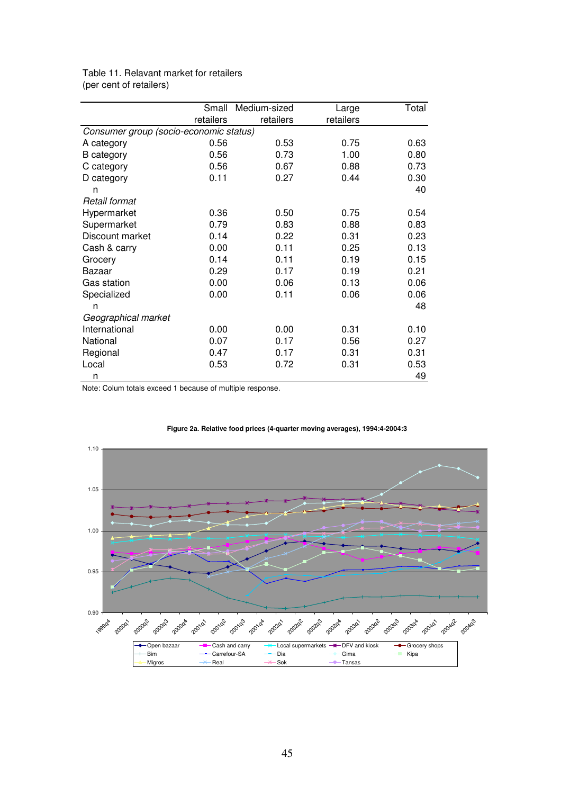|                                        | Small     | Medium-sized | Large     | Total |  |  |  |  |
|----------------------------------------|-----------|--------------|-----------|-------|--|--|--|--|
|                                        | retailers | retailers    | retailers |       |  |  |  |  |
| Consumer group (socio-economic status) |           |              |           |       |  |  |  |  |
| A category                             | 0.56      | 0.53         | 0.75      | 0.63  |  |  |  |  |
| <b>B</b> category                      | 0.56      | 0.73         | 1.00      | 0.80  |  |  |  |  |
| C category                             | 0.56      | 0.67         | 0.88      | 0.73  |  |  |  |  |
| D category                             | 0.11      | 0.27         | 0.44      | 0.30  |  |  |  |  |
| n                                      |           |              |           | 40    |  |  |  |  |
| Retail format                          |           |              |           |       |  |  |  |  |
| Hypermarket                            | 0.36      | 0.50         | 0.75      | 0.54  |  |  |  |  |
| Supermarket                            | 0.79      | 0.83         | 0.88      | 0.83  |  |  |  |  |
| Discount market                        | 0.14      | 0.22         | 0.31      | 0.23  |  |  |  |  |
| Cash & carry                           | 0.00      | 0.11         | 0.25      | 0.13  |  |  |  |  |
| Grocery                                | 0.14      | 0.11         | 0.19      | 0.15  |  |  |  |  |
| Bazaar                                 | 0.29      | 0.17         | 0.19      | 0.21  |  |  |  |  |
| <b>Gas station</b>                     | 0.00      | 0.06         | 0.13      | 0.06  |  |  |  |  |
| Specialized                            | 0.00      | 0.11         | 0.06      | 0.06  |  |  |  |  |
| n                                      |           |              |           | 48    |  |  |  |  |
| Geographical market                    |           |              |           |       |  |  |  |  |
| International                          | 0.00      | 0.00         | 0.31      | 0.10  |  |  |  |  |
| National                               | 0.07      | 0.17         | 0.56      | 0.27  |  |  |  |  |
| Regional                               | 0.47      | 0.17         | 0.31      | 0.31  |  |  |  |  |
| Local                                  | 0.53      | 0.72         | 0.31      | 0.53  |  |  |  |  |
| n                                      |           |              |           | 49    |  |  |  |  |

Table 11. Relavant market for retailers (per cent of retailers)

Note: Colum totals exceed 1 because of multiple response.



#### **Figure 2a. Relative food prices (4-quarter moving averages), 1994:4-2004:3**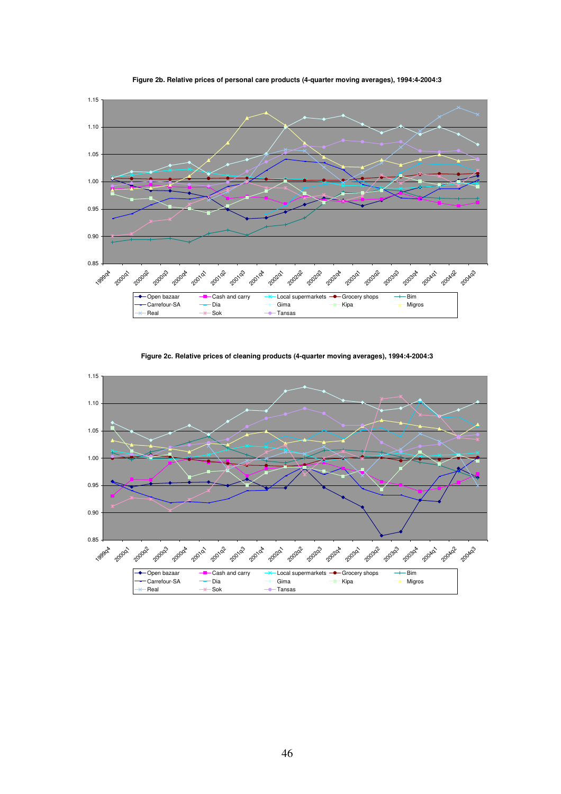



**Figure 2c. Relative prices of cleaning products (4-quarter moving averages), 1994:4-2004:3**

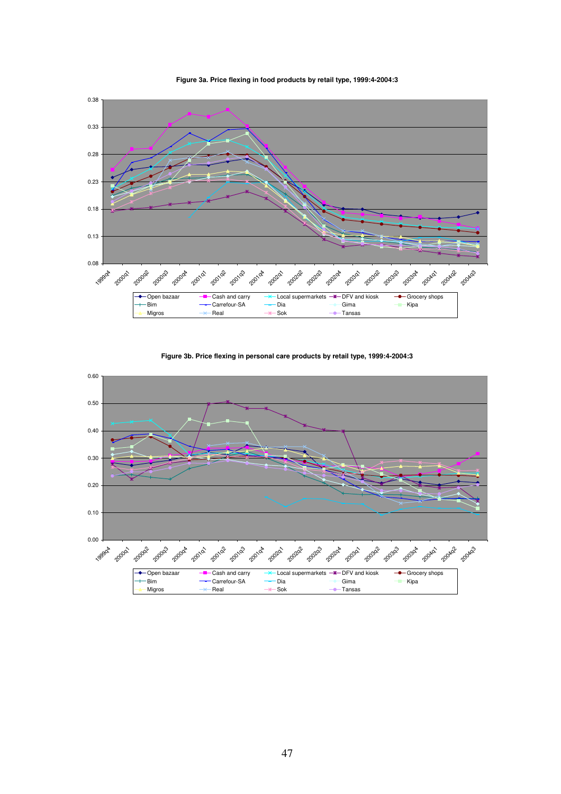

**Figure 3a. Price flexing in food products by retail type, 1999:4-2004:3**



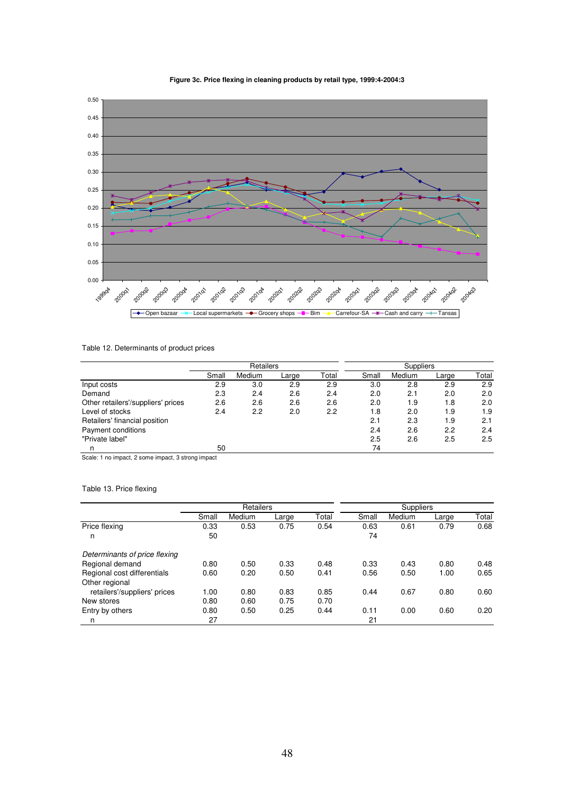

### **Figure 3c. Price flexing in cleaning products by retail type, 1999:4-2004:3**

### Table 12. Determinants of product prices

|                                    | Retailers |        |       |       | <b>Suppliers</b> |        |       |       |
|------------------------------------|-----------|--------|-------|-------|------------------|--------|-------|-------|
|                                    | Small     | Medium | Large | Total | Small            | Medium | Large | Total |
| Input costs                        | 2.9       | 3.0    | 2.9   | 2.9   | 3.0              | 2.8    | 2.9   | 2.9   |
| Demand                             | 2.3       | 2.4    | 2.6   | 2.4   | 2.0              | 2.1    | 2.0   | 2.0   |
| Other retailers'/suppliers' prices | 2.6       | 2.6    | 2.6   | 2.6   | 2.0              | 1.9    | 1.8   | 2.0   |
| Level of stocks                    | 2.4       | 2.2    | 2.0   | 2.2   | 1.8              | 2.0    | 1.9   | 1.9   |
| Retailers' financial position      |           |        |       |       | 2.1              | 2.3    | 1.9   | 2.1   |
| Payment conditions                 |           |        |       |       | 2.4              | 2.6    | 2.2   | 2.4   |
| "Private label"                    |           |        |       |       | 2.5              | 2.6    | 2.5   | 2.5   |
| n                                  | 50        |        |       |       | 74               |        |       |       |

Scale: 1 no impact, 2 some impact, 3 strong impact

### Table 13. Price flexing

|                               | Retailers |        |       |       |       | Suppliers |       |       |
|-------------------------------|-----------|--------|-------|-------|-------|-----------|-------|-------|
|                               | Small     | Medium | Large | Total | Small | Medium    | Large | Total |
| Price flexing                 | 0.33      | 0.53   | 0.75  | 0.54  | 0.63  | 0.61      | 0.79  | 0.68  |
| n                             | 50        |        |       |       | 74    |           |       |       |
| Determinants of price flexing |           |        |       |       |       |           |       |       |
| Regional demand               | 0.80      | 0.50   | 0.33  | 0.48  | 0.33  | 0.43      | 0.80  | 0.48  |
| Regional cost differentials   | 0.60      | 0.20   | 0.50  | 0.41  | 0.56  | 0.50      | 1.00  | 0.65  |
| Other regional                |           |        |       |       |       |           |       |       |
| retailers'/suppliers' prices  | 1.00      | 0.80   | 0.83  | 0.85  | 0.44  | 0.67      | 0.80  | 0.60  |
| New stores                    | 0.80      | 0.60   | 0.75  | 0.70  |       |           |       |       |
| Entry by others               | 0.80      | 0.50   | 0.25  | 0.44  | 0.11  | 0.00      | 0.60  | 0.20  |
| n                             | 27        |        |       |       | 21    |           |       |       |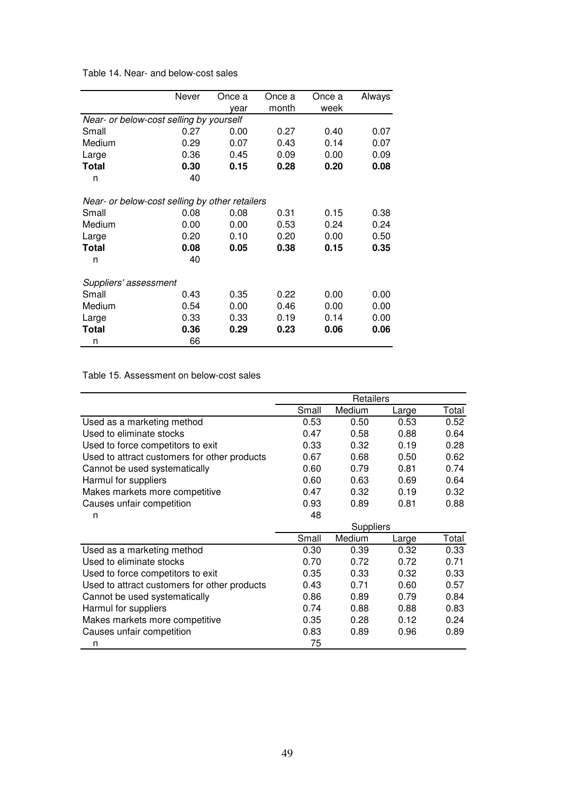| Table 14. Near- and below-cost sales |  |  |  |
|--------------------------------------|--|--|--|
|                                      |  |  |  |

|                                                | Never | Once a | Once a | Once a | Always |
|------------------------------------------------|-------|--------|--------|--------|--------|
|                                                |       | year   | month  | week   |        |
| Near- or below-cost selling by yourself        |       |        |        |        |        |
| Small                                          | 0.27  | 0.00   | 0.27   | 0.40   | 0.07   |
| Medium                                         | 0.29  | 0.07   | 0.43   | 0.14   | 0.07   |
| Large                                          | 0.36  | 0.45   | 0.09   | 0.00   | 0.09   |
| <b>Total</b>                                   | 0.30  | 0.15   | 0.28   | 0.20   | 0.08   |
| n                                              | 40    |        |        |        |        |
|                                                |       |        |        |        |        |
| Near- or below-cost selling by other retailers |       |        |        |        |        |
| Small                                          | 0.08  | 0.08   | 0.31   | 0.15   | 0.38   |
| Medium                                         | 0.00  | 0.00   | 0.53   | 0.24   | 0.24   |
| Large                                          | 0.20  | 0.10   | 0.20   | 0.00   | 0.50   |
| Total                                          | 0.08  | 0.05   | 0.38   | 0.15   | 0.35   |
| n                                              | 40    |        |        |        |        |
| Suppliers' assessment                          |       |        |        |        |        |
| Small                                          | 0.43  | 0.35   | 0.22   | 0.00   | 0.00   |
| Medium                                         | 0.54  | 0.00   | 0.46   | 0.00   | 0.00   |
| Large                                          | 0.33  | 0.33   | 0.19   | 0.14   | 0.00   |
| Total                                          | 0.36  | 0.29   | 0.23   | 0.06   | 0.06   |
| n                                              | 66    |        |        |        |        |

### Table 15. Assessment on below-cost sales

|                                              | Retailers |                  |       |       |  |
|----------------------------------------------|-----------|------------------|-------|-------|--|
|                                              | Small     | Medium           | Large | Total |  |
| Used as a marketing method                   | 0.53      | 0.50             | 0.53  | 0.52  |  |
| Used to eliminate stocks                     | 0.47      | 0.58             | 0.88  | 0.64  |  |
| Used to force competitors to exit            | 0.33      | 0.32             | 0.19  | 0.28  |  |
| Used to attract customers for other products | 0.67      | 0.68             | 0.50  | 0.62  |  |
| Cannot be used systematically                | 0.60      | 0.79             | 0.81  | 0.74  |  |
| Harmul for suppliers                         | 0.60      | 0.63             | 0.69  | 0.64  |  |
| Makes markets more competitive               | 0.47      | 0.32             | 0.19  | 0.32  |  |
| Causes unfair competition                    | 0.93      | 0.89             | 0.81  | 0.88  |  |
| n                                            | 48        |                  |       |       |  |
|                                              |           | <b>Suppliers</b> |       |       |  |
|                                              | Small     | Medium           | Large | Total |  |
| Used as a marketing method                   | 0.30      | 0.39             | 0.32  | 0.33  |  |
| Used to eliminate stocks                     | 0.70      | 0.72             | 0.72  | 0.71  |  |
| Used to force competitors to exit            | 0.35      | 0.33             | 0.32  | 0.33  |  |
| Used to attract customers for other products | 0.43      | 0.71             | 0.60  | 0.57  |  |
| Cannot be used systematically                | 0.86      | 0.89             | 0.79  | 0.84  |  |
| Harmul for suppliers                         | 0.74      | 0.88             | 0.88  | 0.83  |  |
| Makes markets more competitive               | 0.35      | 0.28             | 0.12  | 0.24  |  |
| Causes unfair competition                    | 0.83      | 0.89             | 0.96  | 0.89  |  |
| n                                            | 75        |                  |       |       |  |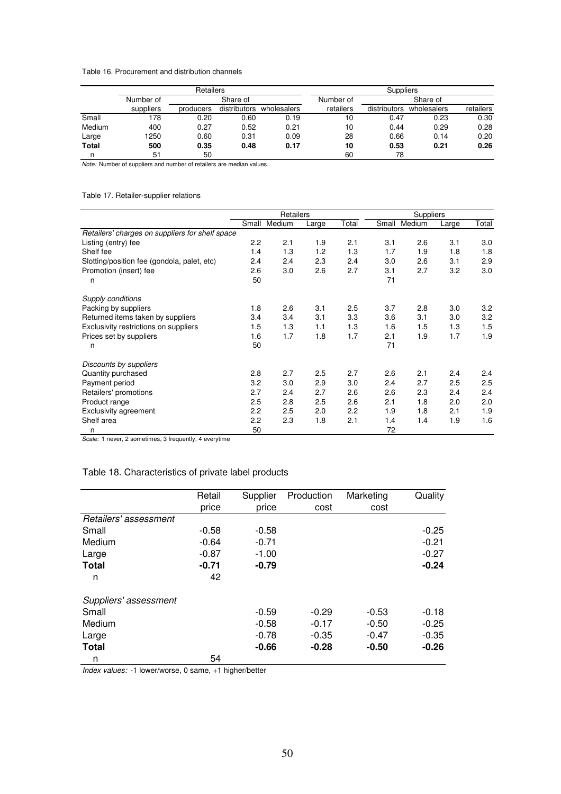### Table 16. Procurement and distribution channels

|        |           | Retailers |              |             |           | Suppliers    |             |           |
|--------|-----------|-----------|--------------|-------------|-----------|--------------|-------------|-----------|
|        | Number of |           | Share of     |             | Number of |              | Share of    |           |
|        | suppliers | producers | distributors | wholesalers | retailers | distributors | wholesalers | retailers |
| Small  | 178       | 0.20      | 0.60         | 0.19        | 10        | 0.47         | 0.23        | 0.30      |
| Medium | 400       | 0.27      | 0.52         | 0.21        | 10        | 0.44         | 0.29        | 0.28      |
| Large  | 1250      | 0.60      | 0.31         | 0.09        | 28        | 0.66         | 0.14        | 0.20      |
| Total  | 500       | 0.35      | 0.48         | 0.17        | 10        | 0.53         | 0.21        | 0.26      |
| n      | 51        | 50        |              |             | 60        | 78           |             |           |

*Note:* Number of suppliers and number of retailers are median values.

### Table 17. Retailer-supplier relations

|                                                 | Retailers |        |       |       | <b>Suppliers</b> |        |       |       |
|-------------------------------------------------|-----------|--------|-------|-------|------------------|--------|-------|-------|
|                                                 | Small     | Medium | Large | Total | Small            | Medium | Large | Total |
| Retailers' charges on suppliers for shelf space |           |        |       |       |                  |        |       |       |
| Listing (entry) fee                             | 2.2       | 2.1    | 1.9   | 2.1   | 3.1              | 2.6    | 3.1   | 3.0   |
| Shelf fee                                       | 1.4       | 1.3    | 1.2   | 1.3   | 1.7              | 1.9    | 1.8   | 1.8   |
| Slotting/position fee (gondola, palet, etc)     | 2.4       | 2.4    | 2.3   | 2.4   | 3.0              | 2.6    | 3.1   | 2.9   |
| Promotion (insert) fee                          | 2.6       | 3.0    | 2.6   | 2.7   | 3.1              | 2.7    | 3.2   | 3.0   |
| n                                               | 50        |        |       |       | 71               |        |       |       |
| Supply conditions                               |           |        |       |       |                  |        |       |       |
| Packing by suppliers                            | 1.8       | 2.6    | 3.1   | 2.5   | 3.7              | 2.8    | 3.0   | 3.2   |
| Returned items taken by suppliers               | 3.4       | 3.4    | 3.1   | 3.3   | 3.6              | 3.1    | 3.0   | 3.2   |
| Exclusivity restrictions on suppliers           | 1.5       | 1.3    | 1.1   | 1.3   | 1.6              | 1.5    | 1.3   | 1.5   |
| Prices set by suppliers                         | 1.6       | 1.7    | 1.8   | 1.7   | 2.1              | 1.9    | 1.7   | 1.9   |
| n                                               | 50        |        |       |       | 71               |        |       |       |
| Discounts by suppliers                          |           |        |       |       |                  |        |       |       |
| Quantity purchased                              | 2.8       | 2.7    | 2.5   | 2.7   | 2.6              | 2.1    | 2.4   | 2.4   |
| Payment period                                  | 3.2       | 3.0    | 2.9   | 3.0   | 2.4              | 2.7    | 2.5   | 2.5   |
| Retailers' promotions                           | 2.7       | 2.4    | 2.7   | 2.6   | 2.6              | 2.3    | 2.4   | 2.4   |
| Product range                                   | 2.5       | 2.8    | 2.5   | 2.6   | 2.1              | 1.8    | 2.0   | 2.0   |
| <b>Exclusivity agreement</b>                    | 2.2       | 2.5    | 2.0   | 2.2   | 1.9              | 1.8    | 2.1   | 1.9   |
| Shelf area                                      | 2.2       | 2.3    | 1.8   | 2.1   | 1.4              | 1.4    | 1.9   | 1.6   |
| n                                               | 50        |        |       |       | 72               |        |       |       |

*Scale:* 1 never, 2 sometimes, 3 frequently, 4 everytime

### Table 18. Characteristics of private label products

|                       | Retail  | Supplier | Production | Marketing | Quality |
|-----------------------|---------|----------|------------|-----------|---------|
|                       | price   | price    | cost       | cost      |         |
| Retailers' assessment |         |          |            |           |         |
| Small                 | $-0.58$ | $-0.58$  |            |           | $-0.25$ |
| Medium                | $-0.64$ | $-0.71$  |            |           | $-0.21$ |
| Large                 | $-0.87$ | $-1.00$  |            |           | $-0.27$ |
| <b>Total</b>          | $-0.71$ | $-0.79$  |            |           | $-0.24$ |
| n                     | 42      |          |            |           |         |
| Suppliers' assessment |         |          |            |           |         |
| Small                 |         | $-0.59$  | $-0.29$    | $-0.53$   | $-0.18$ |
| Medium                |         | $-0.58$  | $-0.17$    | $-0.50$   | $-0.25$ |
| Large                 |         | $-0.78$  | $-0.35$    | $-0.47$   | $-0.35$ |
| <b>Total</b>          |         | $-0.66$  | $-0.28$    | $-0.50$   | $-0.26$ |
| n                     | 54      |          |            |           |         |

*Index values:* -1 lower/worse, 0 same, +1 higher/better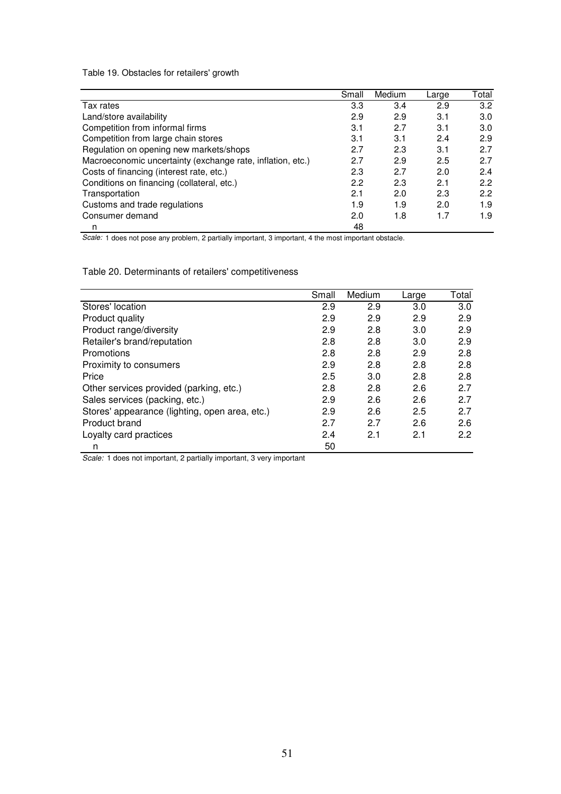Table 19. Obstacles for retailers' growth

|                                                            | Small | Medium | Large | Total |
|------------------------------------------------------------|-------|--------|-------|-------|
| Tax rates                                                  | 3.3   | 3.4    | 2.9   | 3.2   |
| Land/store availability                                    | 2.9   | 2.9    | 3.1   | 3.0   |
| Competition from informal firms                            | 3.1   | 2.7    | 3.1   | 3.0   |
| Competition from large chain stores                        | 3.1   | 3.1    | 2.4   | 2.9   |
| Regulation on opening new markets/shops                    | 2.7   | 2.3    | 3.1   | 2.7   |
| Macroeconomic uncertainty (exchange rate, inflation, etc.) | 2.7   | 2.9    | 2.5   | 2.7   |
| Costs of financing (interest rate, etc.)                   | 2.3   | 2.7    | 2.0   | 2.4   |
| Conditions on financing (collateral, etc.)                 | 2.2   | 2.3    | 2.1   | 2.2   |
| Transportation                                             | 2.1   | 2.0    | 2.3   | 2.2   |
| Customs and trade regulations                              | 1.9   | 1.9    | 2.0   | 1.9   |
| Consumer demand                                            | 2.0   | 1.8    | 1.7   | 1.9   |
| n                                                          | 48    |        |       |       |

*Scale:* 1 does not pose any problem, 2 partially important, 3 important, 4 the most important obstacle.

Table 20. Determinants of retailers' competitiveness

|                                                | Small | Medium | Large | Total |
|------------------------------------------------|-------|--------|-------|-------|
| Stores' location                               | 2.9   | 2.9    | 3.0   | 3.0   |
| Product quality                                | 2.9   | 2.9    | 2.9   | 2.9   |
| Product range/diversity                        | 2.9   | 2.8    | 3.0   | 2.9   |
| Retailer's brand/reputation                    | 2.8   | 2.8    | 3.0   | 2.9   |
| Promotions                                     | 2.8   | 2.8    | 2.9   | 2.8   |
| Proximity to consumers                         | 2.9   | 2.8    | 2.8   | 2.8   |
| Price                                          | 2.5   | 3.0    | 2.8   | 2.8   |
| Other services provided (parking, etc.)        | 2.8   | 2.8    | 2.6   | 2.7   |
| Sales services (packing, etc.)                 | 2.9   | 2.6    | 2.6   | 2.7   |
| Stores' appearance (lighting, open area, etc.) | 2.9   | 2.6    | 2.5   | 2.7   |
| Product brand                                  | 2.7   | 2.7    | 2.6   | 2.6   |
| Loyalty card practices                         | 2.4   | 2.1    | 2.1   | 2.2   |
| n                                              | 50    |        |       |       |

*Scale:* 1 does not important, 2 partially important, 3 very important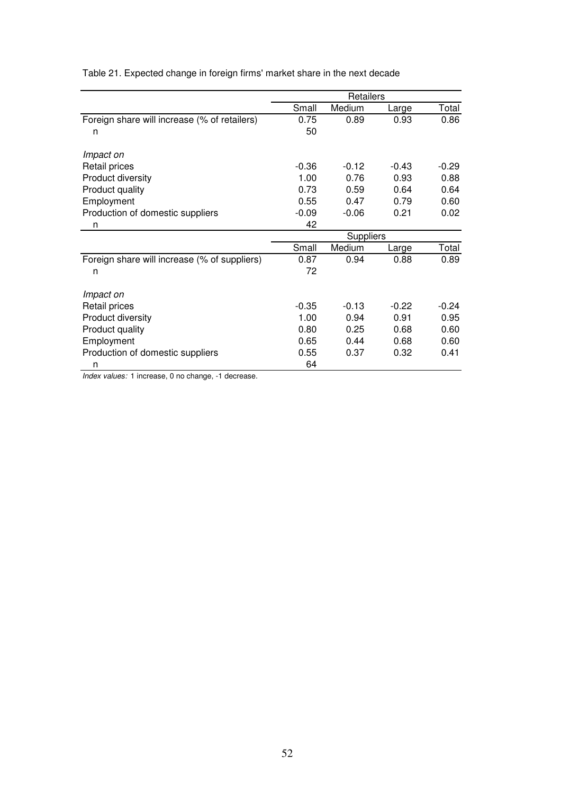|                                              | Retailers |                          |         |         |  |
|----------------------------------------------|-----------|--------------------------|---------|---------|--|
|                                              | Small     | Medium                   | Large   | Total   |  |
| Foreign share will increase (% of retailers) | 0.75      | 0.89                     | 0.93    | 0.86    |  |
| n                                            | 50        |                          |         |         |  |
| Impact on                                    |           |                          |         |         |  |
| Retail prices                                | $-0.36$   | $-0.12$                  | $-0.43$ | $-0.29$ |  |
| Product diversity                            | 1.00      | 0.76                     | 0.93    | 0.88    |  |
| Product quality                              | 0.73      | 0.59                     | 0.64    | 0.64    |  |
| Employment                                   | 0.55      | 0.47                     | 0.79    | 0.60    |  |
| Production of domestic suppliers             | $-0.09$   | $-0.06$                  | 0.21    | 0.02    |  |
| n                                            | 42        |                          |         |         |  |
|                                              | Suppliers |                          |         |         |  |
|                                              | Small     | Medium<br>Total<br>Large |         |         |  |
| Foreign share will increase (% of suppliers) | 0.87      | 0.94                     | 0.88    | 0.89    |  |
| n                                            | 72        |                          |         |         |  |
| Impact on                                    |           |                          |         |         |  |
| Retail prices                                | $-0.35$   | $-0.13$                  | $-0.22$ | $-0.24$ |  |
| Product diversity                            | 1.00      | 0.94                     | 0.91    | 0.95    |  |
| Product quality                              | 0.80      | 0.25                     | 0.68    | 0.60    |  |
| Employment                                   | 0.65      | 0.44                     | 0.68    | 0.60    |  |
| Production of domestic suppliers             | 0.55      | 0.37                     | 0.32    | 0.41    |  |
| n                                            | 64        |                          |         |         |  |

Table 21. Expected change in foreign firms' market share in the next decade

*Index values:* 1 increase, 0 no change, -1 decrease.